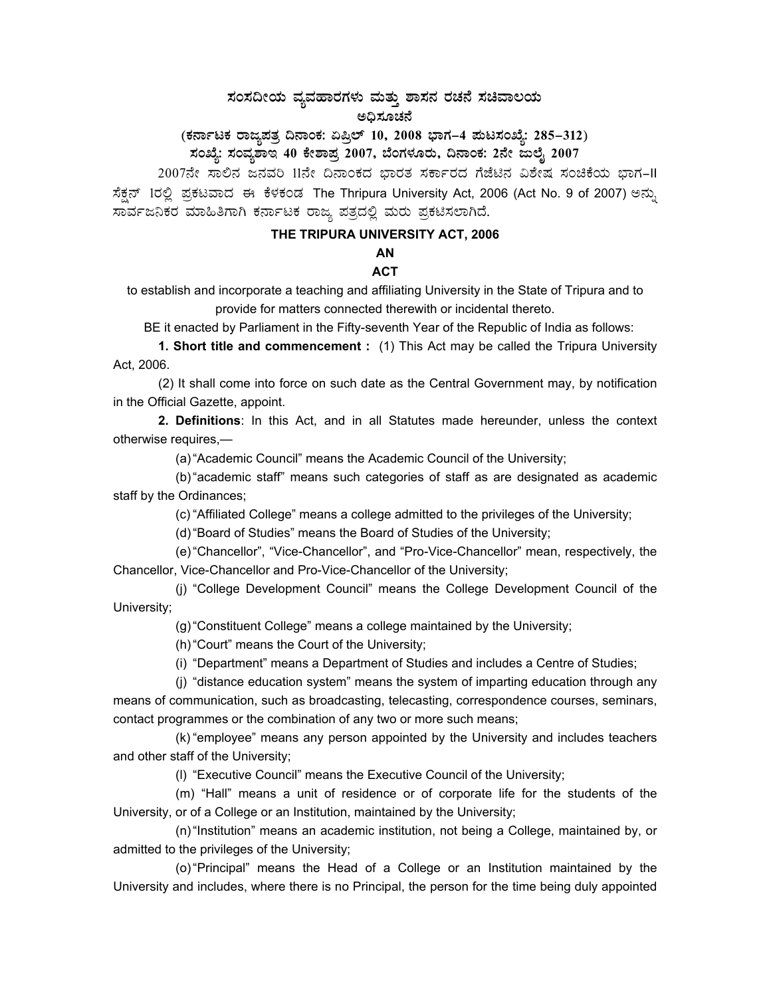## $\,$ ಸಂಸದೀಯ ವ್ಯವಹಾರಗಳು ಮತ್ತು ಶಾಸನ ರಚನೆ ಸಚಿವಾಲಯ ಅಧಿಸೂಚನೆ

(ಕರ್ನಾಟಕ ರಾಜ್ಯಪತ್ರ ದಿನಾಂಕ: ಏಪ್ರಿಲ್ 10, 2008 ಭಾಗ–4 **ಪುಟಸಂಖ್ಯೆ: 285–312)** 

ಸಂಖ್ಯೆ: ಸಂವ್ಯಶಾಇ 40 ಕೇಶಾಪ್ರ 2007, ಬೆಂಗಳೂರು, ದಿನಾಂಕ: 2ನೇ ಜುಲೈ 2007

2007ನೇ ಸಾಲಿನ ಜನವರಿ 11ನೇ ದಿನಾಂಕದ ಭಾರತ ಸರ್ಕಾರದ ಗೆಜೆಟಿನ ವಿಶೇಷ ಸಂಚಿಕೆಯ ಭಾಗ-II ಸೆಕ್ಷನ್ 1ರಲ್ಲಿ ಪ್ರಕಟವಾದ ಈ ಕೆಳಕಂಡ The Thripura University Act, 2006 (Act No. 9 of 2007) ಅನ್ನು ಸಾರ್ವಜನಿಕರ ಮಾಹಿತಿಗಾಗಿ ಕರ್ನಾಟಕ ರಾಜ್ಯ ಪತ್ರದಲ್ಲಿ ಮರು ಪ್ರಕಟಿಸಲಾಗಿದೆ.

#### **THE TRIPURA UNIVERSITY ACT, 2006**

# **AN**

### **ACT**

to establish and incorporate a teaching and affiliating University in the State of Tripura and to provide for matters connected therewith or incidental thereto.

BE it enacted by Parliament in the Fifty-seventh Year of the Republic of India as follows:

 **1. Short title and commencement :** (1) This Act may be called the Tripura University Act, 2006.

(2) It shall come into force on such date as the Central Government may, by notification in the Official Gazette, appoint.

 **2. Definitions**: In this Act, and in all Statutes made hereunder, unless the context otherwise requires,—

(a) "Academic Council" means the Academic Council of the University;

 (b) "academic staff" means such categories of staff as are designated as academic staff by the Ordinances;

(c) "Affiliated College" means a college admitted to the privileges of the University;

(d) "Board of Studies" means the Board of Studies of the University;

 (e) "Chancellor", "Vice-Chancellor", and "Pro-Vice-Chancellor" mean, respectively, the Chancellor, Vice-Chancellor and Pro-Vice-Chancellor of the University;

 (j) "College Development Council" means the College Development Council of the University;

(g) "Constituent College" means a college maintained by the University;

(h) "Court" means the Court of the University;

(i) "Department" means a Department of Studies and includes a Centre of Studies;

 (j) "distance education system" means the system of imparting education through any means of communication, such as broadcasting, telecasting, correspondence courses, seminars, contact programmes or the combination of any two or more such means;

 (k) "employee" means any person appointed by the University and includes teachers and other staff of the University;

(l) "Executive Council" means the Executive Council of the University;

 (m) "Hall" means a unit of residence or of corporate life for the students of the University, or of a College or an Institution, maintained by the University;

 (n) "Institution" means an academic institution, not being a College, maintained by, or admitted to the privileges of the University;

 (o) "Principal" means the Head of a College or an Institution maintained by the University and includes, where there is no Principal, the person for the time being duly appointed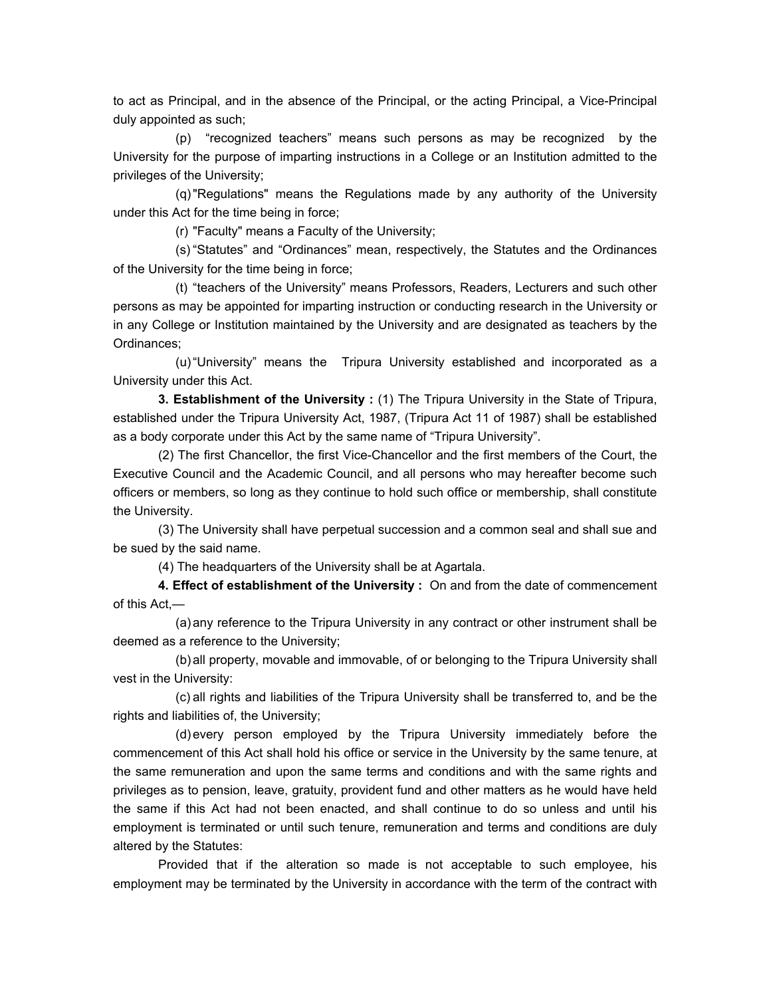to act as Principal, and in the absence of the Principal, or the acting Principal, a Vice-Principal duly appointed as such;

 (p) "recognized teachers" means such persons as may be recognized by the University for the purpose of imparting instructions in a College or an Institution admitted to the privileges of the University;

 (q) "Regulations" means the Regulations made by any authority of the University under this Act for the time being in force;

(r) "Faculty" means a Faculty of the University;

 (s) "Statutes" and "Ordinances" mean, respectively, the Statutes and the Ordinances of the University for the time being in force;

 (t) "teachers of the University" means Professors, Readers, Lecturers and such other persons as may be appointed for imparting instruction or conducting research in the University or in any College or Institution maintained by the University and are designated as teachers by the Ordinances;

 (u) "University" means the Tripura University established and incorporated as a University under this Act.

 **3. Establishment of the University :** (1) The Tripura University in the State of Tripura, established under the Tripura University Act, 1987, (Tripura Act 11 of 1987) shall be established as a body corporate under this Act by the same name of "Tripura University".

 (2) The first Chancellor, the first Vice-Chancellor and the first members of the Court, the Executive Council and the Academic Council, and all persons who may hereafter become such officers or members, so long as they continue to hold such office or membership, shall constitute the University.

 (3) The University shall have perpetual succession and a common seal and shall sue and be sued by the said name.

(4) The headquarters of the University shall be at Agartala.

 **4. Effect of establishment of the University :** On and from the date of commencement of this Act,—

 (a) any reference to the Tripura University in any contract or other instrument shall be deemed as a reference to the University;

 (b) all property, movable and immovable, of or belonging to the Tripura University shall vest in the University:

 (c) all rights and liabilities of the Tripura University shall be transferred to, and be the rights and liabilities of, the University;

 (d) every person employed by the Tripura University immediately before the commencement of this Act shall hold his office or service in the University by the same tenure, at the same remuneration and upon the same terms and conditions and with the same rights and privileges as to pension, leave, gratuity, provident fund and other matters as he would have held the same if this Act had not been enacted, and shall continue to do so unless and until his employment is terminated or until such tenure, remuneration and terms and conditions are duly altered by the Statutes:

 Provided that if the alteration so made is not acceptable to such employee, his employment may be terminated by the University in accordance with the term of the contract with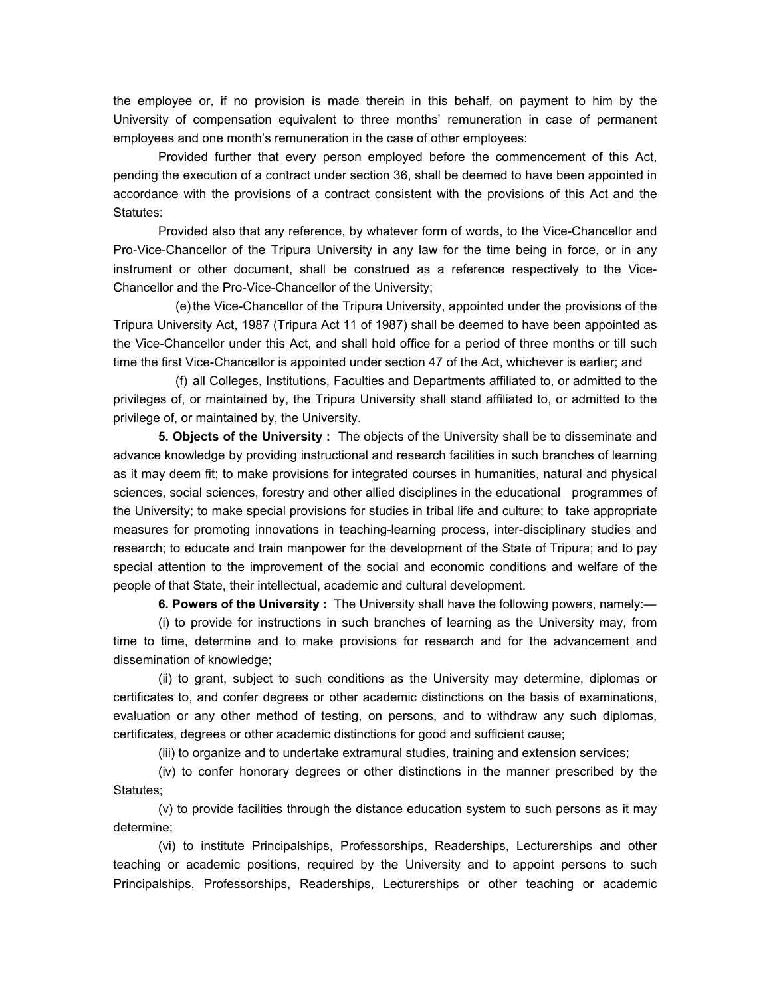the employee or, if no provision is made therein in this behalf, on payment to him by the University of compensation equivalent to three months' remuneration in case of permanent employees and one month's remuneration in the case of other employees:

 Provided further that every person employed before the commencement of this Act, pending the execution of a contract under section 36, shall be deemed to have been appointed in accordance with the provisions of a contract consistent with the provisions of this Act and the Statutes:

 Provided also that any reference, by whatever form of words, to the Vice-Chancellor and Pro-Vice-Chancellor of the Tripura University in any law for the time being in force, or in any instrument or other document, shall be construed as a reference respectively to the Vice-Chancellor and the Pro-Vice-Chancellor of the University;

 (e) the Vice-Chancellor of the Tripura University, appointed under the provisions of the Tripura University Act, 1987 (Tripura Act 11 of 1987) shall be deemed to have been appointed as the Vice-Chancellor under this Act, and shall hold office for a period of three months or till such time the first Vice-Chancellor is appointed under section 47 of the Act, whichever is earlier; and

 (f) all Colleges, Institutions, Faculties and Departments affiliated to, or admitted to the privileges of, or maintained by, the Tripura University shall stand affiliated to, or admitted to the privilege of, or maintained by, the University.

 **5. Objects of the University :** The objects of the University shall be to disseminate and advance knowledge by providing instructional and research facilities in such branches of learning as it may deem fit; to make provisions for integrated courses in humanities, natural and physical sciences, social sciences, forestry and other allied disciplines in the educational programmes of the University; to make special provisions for studies in tribal life and culture; to take appropriate measures for promoting innovations in teaching-learning process, inter-disciplinary studies and research; to educate and train manpower for the development of the State of Tripura; and to pay special attention to the improvement of the social and economic conditions and welfare of the people of that State, their intellectual, academic and cultural development.

 **6. Powers of the University :** The University shall have the following powers, namely:—

 (i) to provide for instructions in such branches of learning as the University may, from time to time, determine and to make provisions for research and for the advancement and dissemination of knowledge;

 (ii) to grant, subject to such conditions as the University may determine, diplomas or certificates to, and confer degrees or other academic distinctions on the basis of examinations, evaluation or any other method of testing, on persons, and to withdraw any such diplomas, certificates, degrees or other academic distinctions for good and sufficient cause;

(iii) to organize and to undertake extramural studies, training and extension services;

 (iv) to confer honorary degrees or other distinctions in the manner prescribed by the Statutes;

 (v) to provide facilities through the distance education system to such persons as it may determine;

 (vi) to institute Principalships, Professorships, Readerships, Lecturerships and other teaching or academic positions, required by the University and to appoint persons to such Principalships, Professorships, Readerships, Lecturerships or other teaching or academic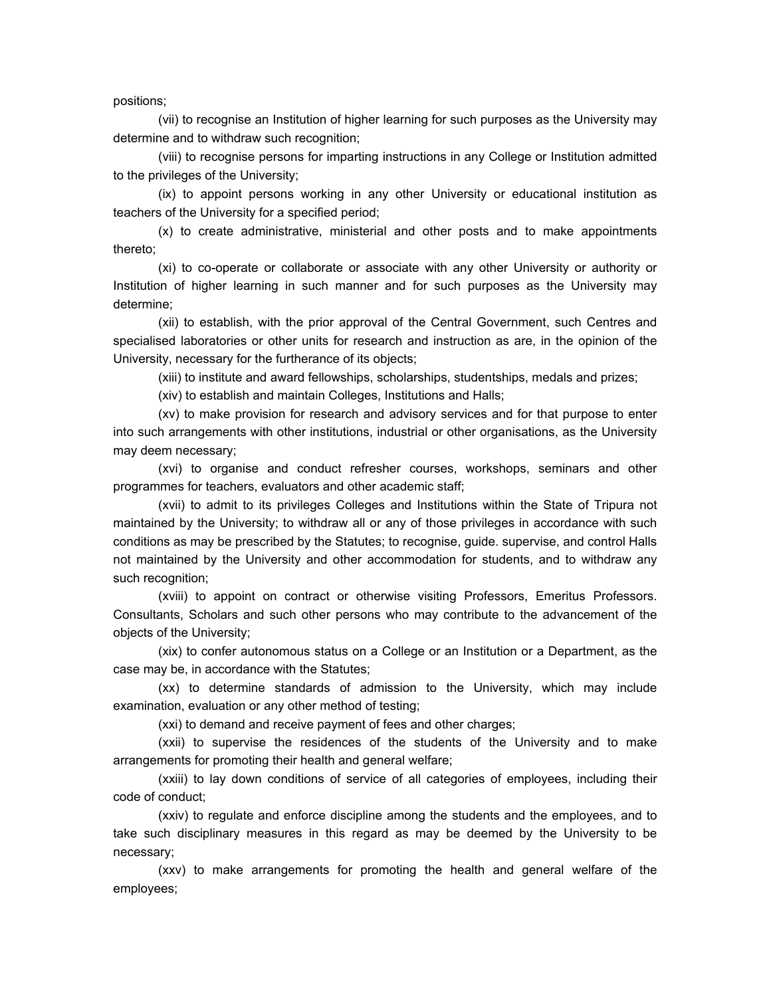positions;

 (vii) to recognise an Institution of higher learning for such purposes as the University may determine and to withdraw such recognition;

 (viii) to recognise persons for imparting instructions in any College or Institution admitted to the privileges of the University;

 (ix) to appoint persons working in any other University or educational institution as teachers of the University for a specified period;

 (x) to create administrative, ministerial and other posts and to make appointments thereto;

 (xi) to co-operate or collaborate or associate with any other University or authority or Institution of higher learning in such manner and for such purposes as the University may determine;

 (xii) to establish, with the prior approval of the Central Government, such Centres and specialised laboratories or other units for research and instruction as are, in the opinion of the University, necessary for the furtherance of its objects;

(xiii) to institute and award fellowships, scholarships, studentships, medals and prizes;

(xiv) to establish and maintain Colleges, Institutions and Halls;

 (xv) to make provision for research and advisory services and for that purpose to enter into such arrangements with other institutions, industrial or other organisations, as the University may deem necessary;

 (xvi) to organise and conduct refresher courses, workshops, seminars and other programmes for teachers, evaluators and other academic staff;

 (xvii) to admit to its privileges Colleges and Institutions within the State of Tripura not maintained by the University; to withdraw all or any of those privileges in accordance with such conditions as may be prescribed by the Statutes; to recognise, guide. supervise, and control Halls not maintained by the University and other accommodation for students, and to withdraw any such recognition;

 (xviii) to appoint on contract or otherwise visiting Professors, Emeritus Professors. Consultants, Scholars and such other persons who may contribute to the advancement of the objects of the University;

 (xix) to confer autonomous status on a College or an Institution or a Department, as the case may be, in accordance with the Statutes;

 (xx) to determine standards of admission to the University, which may include examination, evaluation or any other method of testing;

(xxi) to demand and receive payment of fees and other charges;

 (xxii) to supervise the residences of the students of the University and to make arrangements for promoting their health and general welfare;

 (xxiii) to lay down conditions of service of all categories of employees, including their code of conduct;

 (xxiv) to regulate and enforce discipline among the students and the employees, and to take such disciplinary measures in this regard as may be deemed by the University to be necessary;

 (xxv) to make arrangements for promoting the health and general welfare of the employees;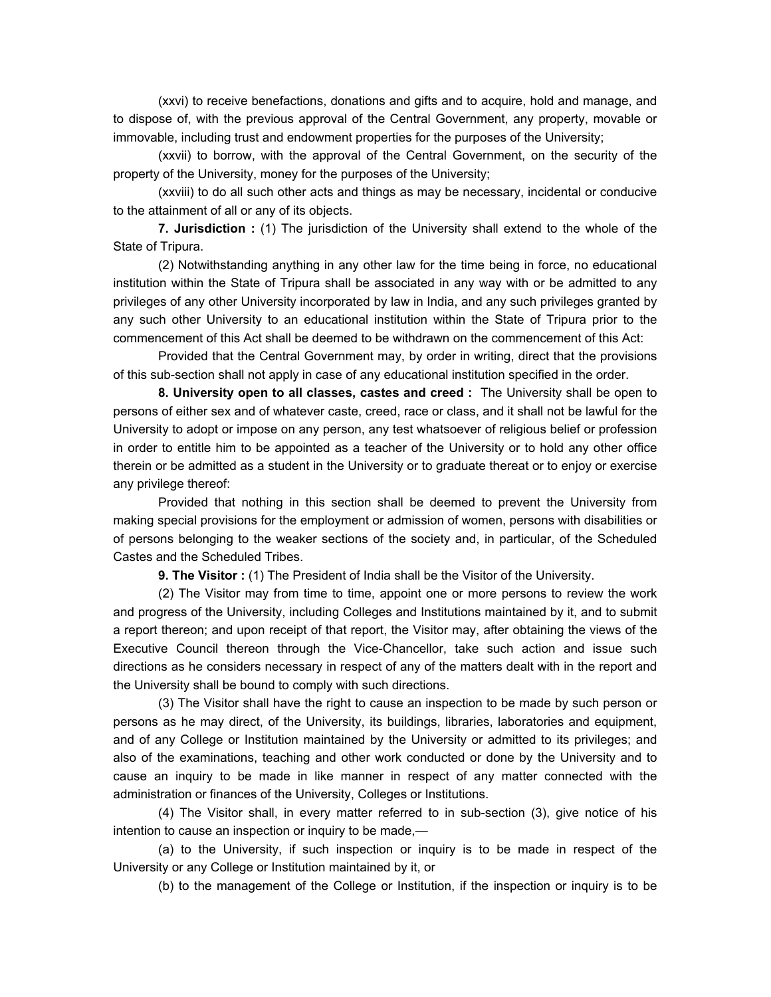(xxvi) to receive benefactions, donations and gifts and to acquire, hold and manage, and to dispose of, with the previous approval of the Central Government, any property, movable or immovable, including trust and endowment properties for the purposes of the University;

 (xxvii) to borrow, with the approval of the Central Government, on the security of the property of the University, money for the purposes of the University;

 (xxviii) to do all such other acts and things as may be necessary, incidental or conducive to the attainment of all or any of its objects.

 **7. Jurisdiction :** (1) The jurisdiction of the University shall extend to the whole of the State of Tripura.

 (2) Notwithstanding anything in any other law for the time being in force, no educational institution within the State of Tripura shall be associated in any way with or be admitted to any privileges of any other University incorporated by law in India, and any such privileges granted by any such other University to an educational institution within the State of Tripura prior to the commencement of this Act shall be deemed to be withdrawn on the commencement of this Act:

 Provided that the Central Government may, by order in writing, direct that the provisions of this sub-section shall not apply in case of any educational institution specified in the order.

 **8. University open to all classes, castes and creed :** The University shall be open to persons of either sex and of whatever caste, creed, race or class, and it shall not be lawful for the University to adopt or impose on any person, any test whatsoever of religious belief or profession in order to entitle him to be appointed as a teacher of the University or to hold any other office therein or be admitted as a student in the University or to graduate thereat or to enjoy or exercise any privilege thereof:

 Provided that nothing in this section shall be deemed to prevent the University from making special provisions for the employment or admission of women, persons with disabilities or of persons belonging to the weaker sections of the society and, in particular, of the Scheduled Castes and the Scheduled Tribes.

**9. The Visitor :** (1) The President of India shall be the Visitor of the University.

 (2) The Visitor may from time to time, appoint one or more persons to review the work and progress of the University, including Colleges and Institutions maintained by it, and to submit a report thereon; and upon receipt of that report, the Visitor may, after obtaining the views of the Executive Council thereon through the Vice-Chancellor, take such action and issue such directions as he considers necessary in respect of any of the matters dealt with in the report and the University shall be bound to comply with such directions.

 (3) The Visitor shall have the right to cause an inspection to be made by such person or persons as he may direct, of the University, its buildings, libraries, laboratories and equipment, and of any College or Institution maintained by the University or admitted to its privileges; and also of the examinations, teaching and other work conducted or done by the University and to cause an inquiry to be made in like manner in respect of any matter connected with the administration or finances of the University, Colleges or Institutions.

 (4) The Visitor shall, in every matter referred to in sub-section (3), give notice of his intention to cause an inspection or inquiry to be made,—

 (a) to the University, if such inspection or inquiry is to be made in respect of the University or any College or Institution maintained by it, or

(b) to the management of the College or Institution, if the inspection or inquiry is to be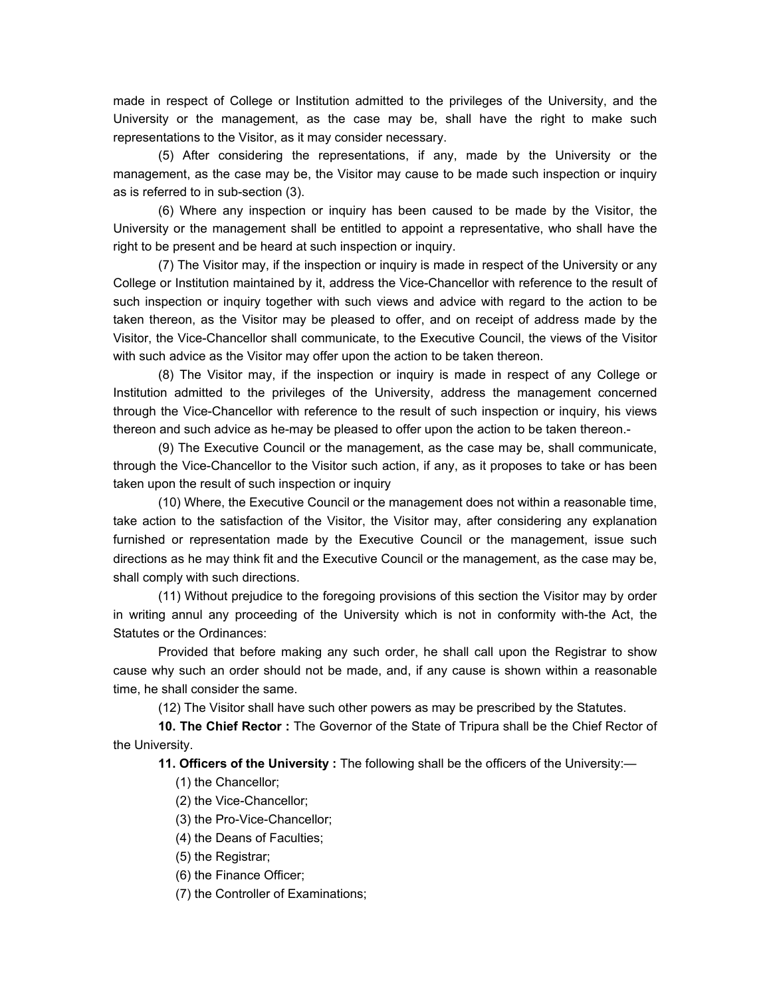made in respect of College or Institution admitted to the privileges of the University, and the University or the management, as the case may be, shall have the right to make such representations to the Visitor, as it may consider necessary.

 (5) After considering the representations, if any, made by the University or the management, as the case may be, the Visitor may cause to be made such inspection or inquiry as is referred to in sub-section (3).

 (6) Where any inspection or inquiry has been caused to be made by the Visitor, the University or the management shall be entitled to appoint a representative, who shall have the right to be present and be heard at such inspection or inquiry.

 (7) The Visitor may, if the inspection or inquiry is made in respect of the University or any College or Institution maintained by it, address the Vice-Chancellor with reference to the result of such inspection or inquiry together with such views and advice with regard to the action to be taken thereon, as the Visitor may be pleased to offer, and on receipt of address made by the Visitor, the Vice-Chancellor shall communicate, to the Executive Council, the views of the Visitor with such advice as the Visitor may offer upon the action to be taken thereon.

(8) The Visitor may, if the inspection or inquiry is made in respect of any College or Institution admitted to the privileges of the University, address the management concerned through the Vice-Chancellor with reference to the result of such inspection or inquiry, his views thereon and such advice as he-may be pleased to offer upon the action to be taken thereon.-

 (9) The Executive Council or the management, as the case may be, shall communicate, through the Vice-Chancellor to the Visitor such action, if any, as it proposes to take or has been taken upon the result of such inspection or inquiry

 (10) Where, the Executive Council or the management does not within a reasonable time, take action to the satisfaction of the Visitor, the Visitor may, after considering any explanation furnished or representation made by the Executive Council or the management, issue such directions as he may think fit and the Executive Council or the management, as the case may be, shall comply with such directions.

 (11) Without prejudice to the foregoing provisions of this section the Visitor may by order in writing annul any proceeding of the University which is not in conformity with-the Act, the Statutes or the Ordinances:

 Provided that before making any such order, he shall call upon the Registrar to show cause why such an order should not be made, and, if any cause is shown within a reasonable time, he shall consider the same.

(12) The Visitor shall have such other powers as may be prescribed by the Statutes.

 **10. The Chief Rector :** The Governor of the State of Tripura shall be the Chief Rector of the University.

 **11. Officers of the University :** The following shall be the officers of the University:—

(1) the Chancellor;

(2) the Vice-Chancellor;

(3) the Pro-Vice-Chancellor;

(4) the Deans of Faculties;

(5) the Registrar;

(6) the Finance Officer;

(7) the Controller of Examinations;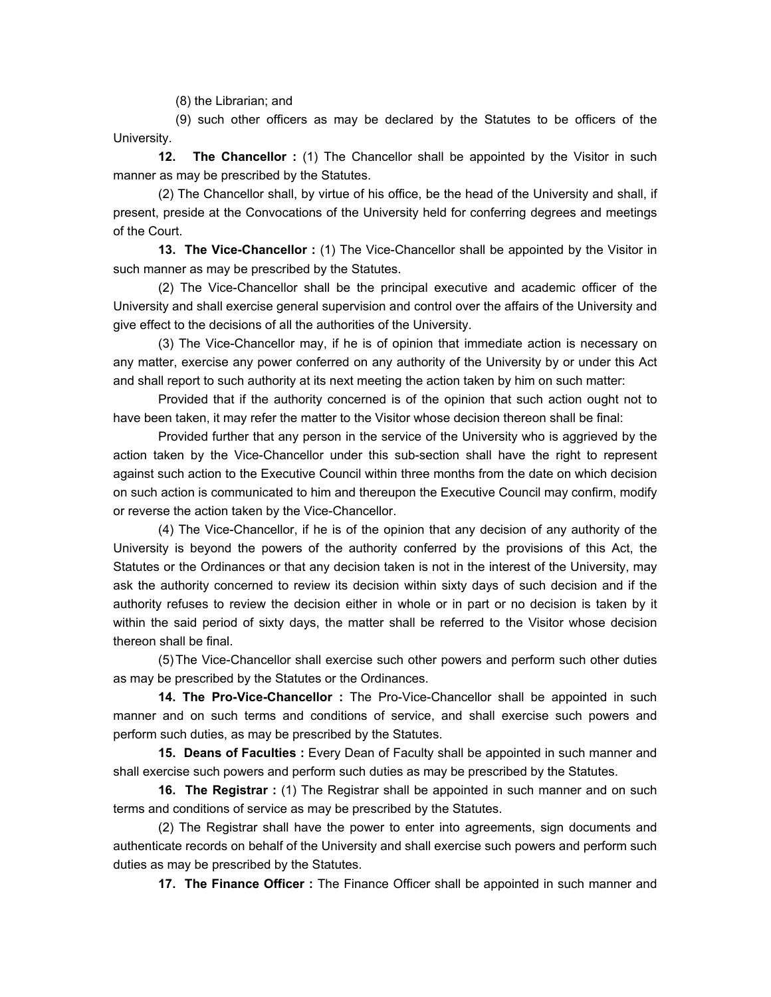(8) the Librarian; and

 (9) such other officers as may be declared by the Statutes to be officers of the University.

**12. The Chancellor**: (1) The Chancellor shall be appointed by the Visitor in such manner as may be prescribed by the Statutes.

 (2) The Chancellor shall, by virtue of his office, be the head of the University and shall, if present, preside at the Convocations of the University held for conferring degrees and meetings of the Court.

 **13. The Vice-Chancellor :** (1) The Vice-Chancellor shall be appointed by the Visitor in such manner as may be prescribed by the Statutes.

 (2) The Vice-Chancellor shall be the principal executive and academic officer of the University and shall exercise general supervision and control over the affairs of the University and give effect to the decisions of all the authorities of the University.

 (3) The Vice-Chancellor may, if he is of opinion that immediate action is necessary on any matter, exercise any power conferred on any authority of the University by or under this Act and shall report to such authority at its next meeting the action taken by him on such matter:

 Provided that if the authority concerned is of the opinion that such action ought not to have been taken, it may refer the matter to the Visitor whose decision thereon shall be final:

 Provided further that any person in the service of the University who is aggrieved by the action taken by the Vice-Chancellor under this sub-section shall have the right to represent against such action to the Executive Council within three months from the date on which decision on such action is communicated to him and thereupon the Executive Council may confirm, modify or reverse the action taken by the Vice-Chancellor.

 (4) The Vice-Chancellor, if he is of the opinion that any decision of any authority of the University is beyond the powers of the authority conferred by the provisions of this Act, the Statutes or the Ordinances or that any decision taken is not in the interest of the University, may ask the authority concerned to review its decision within sixty days of such decision and if the authority refuses to review the decision either in whole or in part or no decision is taken by it within the said period of sixty days, the matter shall be referred to the Visitor whose decision thereon shall be final.

 (5) The Vice-Chancellor shall exercise such other powers and perform such other duties as may be prescribed by the Statutes or the Ordinances.

 **14. The Pro-Vice-Chancellor :** The Pro-Vice-Chancellor shall be appointed in such manner and on such terms and conditions of service, and shall exercise such powers and perform such duties, as may be prescribed by the Statutes.

 **15. Deans of Faculties :** Every Dean of Faculty shall be appointed in such manner and shall exercise such powers and perform such duties as may be prescribed by the Statutes.

 **16. The Registrar :** (1) The Registrar shall be appointed in such manner and on such terms and conditions of service as may be prescribed by the Statutes.

 (2) The Registrar shall have the power to enter into agreements, sign documents and authenticate records on behalf of the University and shall exercise such powers and perform such duties as may be prescribed by the Statutes.

 **17. The Finance Officer :** The Finance Officer shall be appointed in such manner and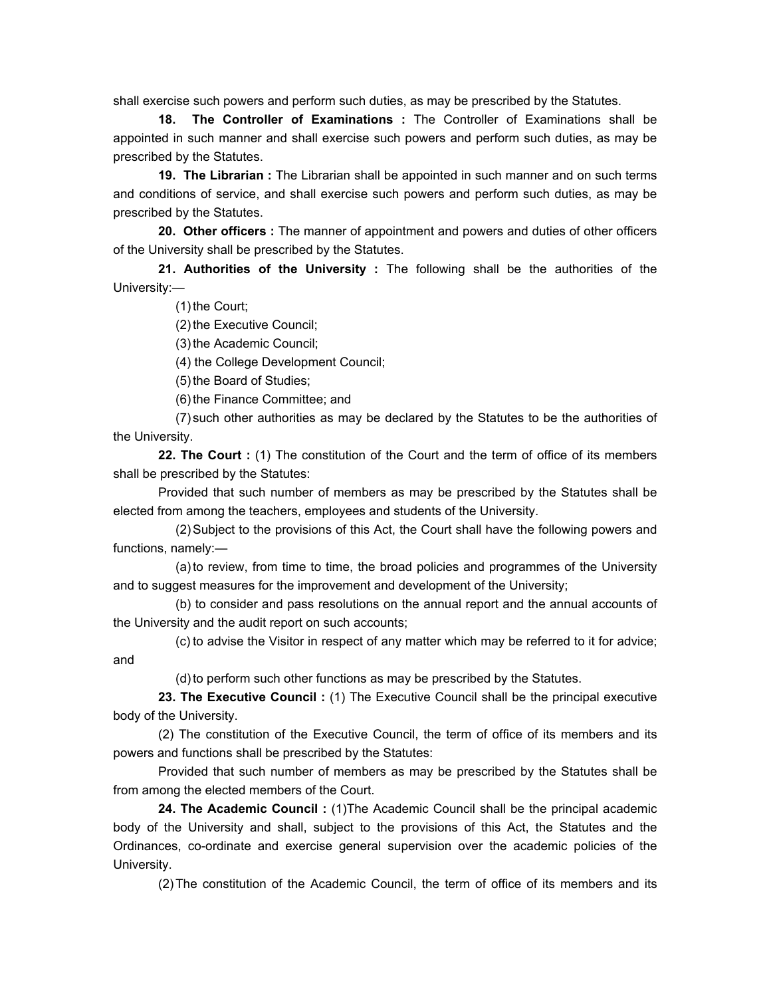shall exercise such powers and perform such duties, as may be prescribed by the Statutes.

 **18. The Controller of Examinations :** The Controller of Examinations shall be appointed in such manner and shall exercise such powers and perform such duties, as may be prescribed by the Statutes.

 **19. The Librarian :** The Librarian shall be appointed in such manner and on such terms and conditions of service, and shall exercise such powers and perform such duties, as may be prescribed by the Statutes.

 **20. Other officers :** The manner of appointment and powers and duties of other officers of the University shall be prescribed by the Statutes.

 **21. Authorities of the University :** The following shall be the authorities of the University:—

(1) the Court;

(2) the Executive Council;

(3) the Academic Council;

(4) the College Development Council;

(5) the Board of Studies;

(6) the Finance Committee; and

 (7) such other authorities as may be declared by the Statutes to be the authorities of the University.

 **22. The Court :** (1) The constitution of the Court and the term of office of its members shall be prescribed by the Statutes:

 Provided that such number of members as may be prescribed by the Statutes shall be elected from among the teachers, employees and students of the University.

 (2) Subject to the provisions of this Act, the Court shall have the following powers and functions, namely:—

 (a) to review, from time to time, the broad policies and programmes of the University and to suggest measures for the improvement and development of the University;

 (b) to consider and pass resolutions on the annual report and the annual accounts of the University and the audit report on such accounts;

 (c) to advise the Visitor in respect of any matter which may be referred to it for advice; and

(d) to perform such other functions as may be prescribed by the Statutes.

 **23. The Executive Council :** (1) The Executive Council shall be the principal executive body of the University.

 (2) The constitution of the Executive Council, the term of office of its members and its powers and functions shall be prescribed by the Statutes:

 Provided that such number of members as may be prescribed by the Statutes shall be from among the elected members of the Court.

 **24. The Academic Council :** (1)The Academic Council shall be the principal academic body of the University and shall, subject to the provisions of this Act, the Statutes and the Ordinances, co-ordinate and exercise general supervision over the academic policies of the University.

(2) The constitution of the Academic Council, the term of office of its members and its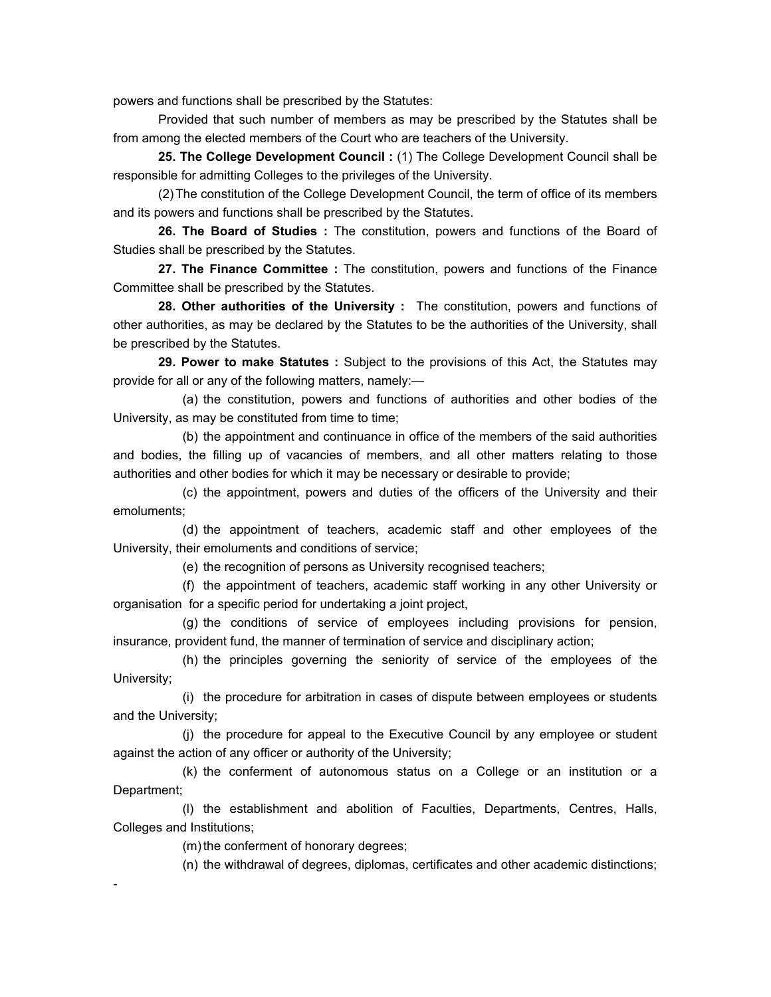powers and functions shall be prescribed by the Statutes:

 Provided that such number of members as may be prescribed by the Statutes shall be from among the elected members of the Court who are teachers of the University.

 **25. The College Development Council :** (1) The College Development Council shall be responsible for admitting Colleges to the privileges of the University.

 (2) The constitution of the College Development Council, the term of office of its members and its powers and functions shall be prescribed by the Statutes.

 **26. The Board of Studies :** The constitution, powers and functions of the Board of Studies shall be prescribed by the Statutes.

 **27. The Finance Committee :** The constitution, powers and functions of the Finance Committee shall be prescribed by the Statutes.

 **28. Other authorities of the University :** The constitution, powers and functions of other authorities, as may be declared by the Statutes to be the authorities of the University, shall be prescribed by the Statutes.

 **29. Power to make Statutes :** Subject to the provisions of this Act, the Statutes may provide for all or any of the following matters, namely:—

(a) the constitution, powers and functions of authorities and other bodies of the University, as may be constituted from time to time;

(b) the appointment and continuance in office of the members of the said authorities and bodies, the filling up of vacancies of members, and all other matters relating to those authorities and other bodies for which it may be necessary or desirable to provide;

(c) the appointment, powers and duties of the officers of the University and their emoluments;

(d) the appointment of teachers, academic staff and other employees of the University, their emoluments and conditions of service;

(e) the recognition of persons as University recognised teachers;

(f) the appointment of teachers, academic staff working in any other University or organisation for a specific period for undertaking a joint project,

(g) the conditions of service of employees including provisions for pension, insurance, provident fund, the manner of termination of service and disciplinary action;

(h) the principles governing the seniority of service of the employees of the University;

(i) the procedure for arbitration in cases of dispute between employees or students and the University;

(j) the procedure for appeal to the Executive Council by any employee or student against the action of any officer or authority of the University;

(k) the conferment of autonomous status on a College or an institution or a Department;

(l) the establishment and abolition of Faculties, Departments, Centres, Halls, Colleges and Institutions;

(m) the conferment of honorary degrees;

-

(n) the withdrawal of degrees, diplomas, certificates and other academic distinctions;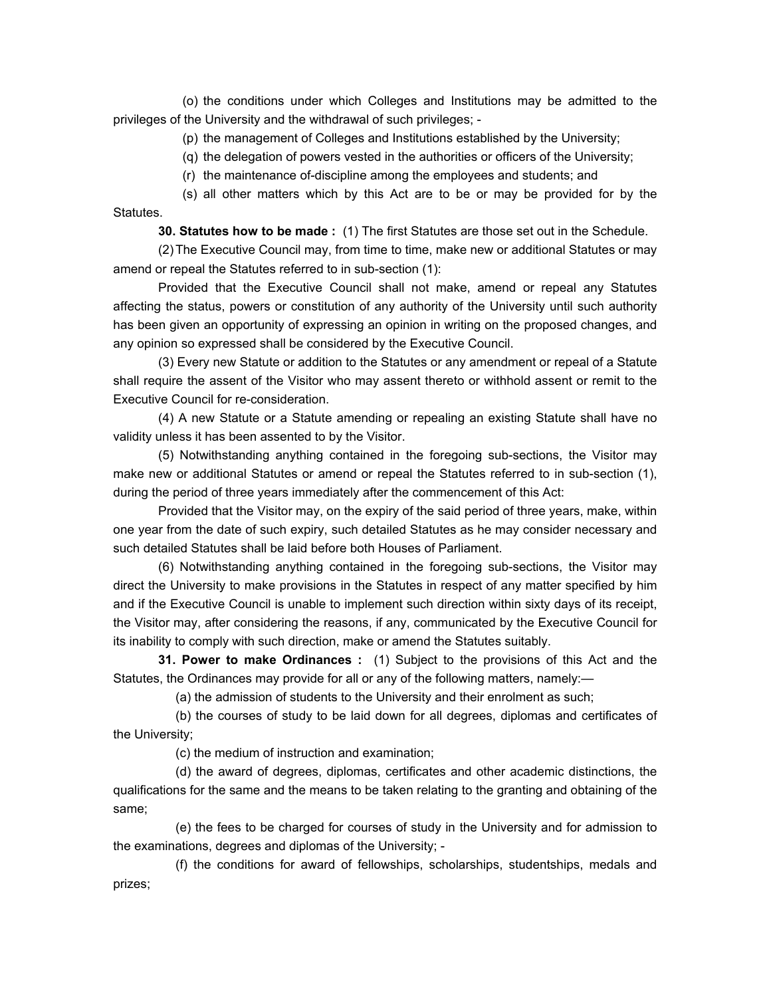(o) the conditions under which Colleges and Institutions may be admitted to the privileges of the University and the withdrawal of such privileges; -

(p) the management of Colleges and Institutions established by the University;

(q) the delegation of powers vested in the authorities or officers of the University;

(r) the maintenance of-discipline among the employees and students; and

(s) all other matters which by this Act are to be or may be provided for by the Statutes.

 **30. Statutes how to be made :** (1) The first Statutes are those set out in the Schedule.

 (2) The Executive Council may, from time to time, make new or additional Statutes or may amend or repeal the Statutes referred to in sub-section (1):

 Provided that the Executive Council shall not make, amend or repeal any Statutes affecting the status, powers or constitution of any authority of the University until such authority has been given an opportunity of expressing an opinion in writing on the proposed changes, and any opinion so expressed shall be considered by the Executive Council.

 (3) Every new Statute or addition to the Statutes or any amendment or repeal of a Statute shall require the assent of the Visitor who may assent thereto or withhold assent or remit to the Executive Council for re-consideration.

 (4) A new Statute or a Statute amending or repealing an existing Statute shall have no validity unless it has been assented to by the Visitor.

(5) Notwithstanding anything contained in the foregoing sub-sections, the Visitor may make new or additional Statutes or amend or repeal the Statutes referred to in sub-section (1), during the period of three years immediately after the commencement of this Act:

 Provided that the Visitor may, on the expiry of the said period of three years, make, within one year from the date of such expiry, such detailed Statutes as he may consider necessary and such detailed Statutes shall be laid before both Houses of Parliament.

 (6) Notwithstanding anything contained in the foregoing sub-sections, the Visitor may direct the University to make provisions in the Statutes in respect of any matter specified by him and if the Executive Council is unable to implement such direction within sixty days of its receipt, the Visitor may, after considering the reasons, if any, communicated by the Executive Council for its inability to comply with such direction, make or amend the Statutes suitably.

 **31. Power to make Ordinances :** (1) Subject to the provisions of this Act and the Statutes, the Ordinances may provide for all or any of the following matters, namely:—

(a) the admission of students to the University and their enrolment as such;

 (b) the courses of study to be laid down for all degrees, diplomas and certificates of the University;

(c) the medium of instruction and examination;

 (d) the award of degrees, diplomas, certificates and other academic distinctions, the qualifications for the same and the means to be taken relating to the granting and obtaining of the same;

 (e) the fees to be charged for courses of study in the University and for admission to the examinations, degrees and diplomas of the University; -

 (f) the conditions for award of fellowships, scholarships, studentships, medals and prizes;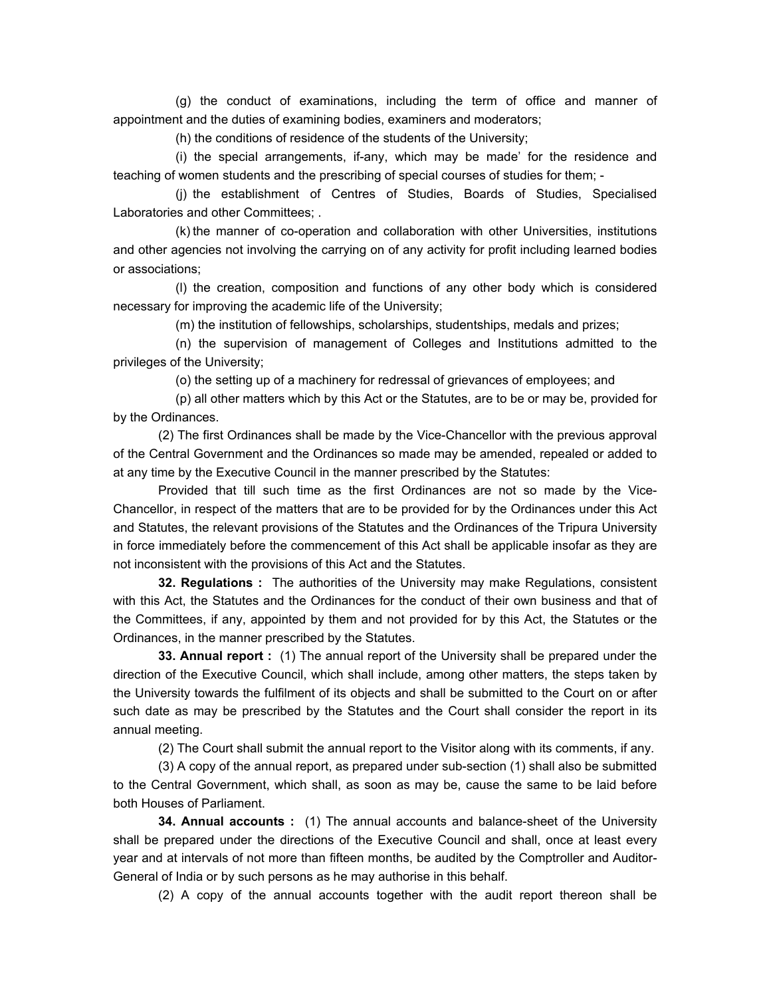(g) the conduct of examinations, including the term of office and manner of appointment and the duties of examining bodies, examiners and moderators;

(h) the conditions of residence of the students of the University;

 (i) the special arrangements, if-any, which may be made' for the residence and teaching of women students and the prescribing of special courses of studies for them; -

 (j) the establishment of Centres of Studies, Boards of Studies, Specialised Laboratories and other Committees; .

 (k) the manner of co-operation and collaboration with other Universities, institutions and other agencies not involving the carrying on of any activity for profit including learned bodies or associations;

 (l) the creation, composition and functions of any other body which is considered necessary for improving the academic life of the University;

(m) the institution of fellowships, scholarships, studentships, medals and prizes;

 (n) the supervision of management of Colleges and Institutions admitted to the privileges of the University;

(o) the setting up of a machinery for redressal of grievances of employees; and

 (p) all other matters which by this Act or the Statutes, are to be or may be, provided for by the Ordinances.

 (2) The first Ordinances shall be made by the Vice-Chancellor with the previous approval of the Central Government and the Ordinances so made may be amended, repealed or added to at any time by the Executive Council in the manner prescribed by the Statutes:

Provided that till such time as the first Ordinances are not so made by the Vice-Chancellor, in respect of the matters that are to be provided for by the Ordinances under this Act and Statutes, the relevant provisions of the Statutes and the Ordinances of the Tripura University in force immediately before the commencement of this Act shall be applicable insofar as they are not inconsistent with the provisions of this Act and the Statutes.

 **32. Regulations :** The authorities of the University may make Regulations, consistent with this Act, the Statutes and the Ordinances for the conduct of their own business and that of the Committees, if any, appointed by them and not provided for by this Act, the Statutes or the Ordinances, in the manner prescribed by the Statutes.

 **33. Annual report :** (1) The annual report of the University shall be prepared under the direction of the Executive Council, which shall include, among other matters, the steps taken by the University towards the fulfilment of its objects and shall be submitted to the Court on or after such date as may be prescribed by the Statutes and the Court shall consider the report in its annual meeting.

(2) The Court shall submit the annual report to the Visitor along with its comments, if any.

 (3) A copy of the annual report, as prepared under sub-section (1) shall also be submitted to the Central Government, which shall, as soon as may be, cause the same to be laid before both Houses of Parliament.

 **34. Annual accounts :** (1) The annual accounts and balance-sheet of the University shall be prepared under the directions of the Executive Council and shall, once at least every year and at intervals of not more than fifteen months, be audited by the Comptroller and Auditor-General of India or by such persons as he may authorise in this behalf.

(2) A copy of the annual accounts together with the audit report thereon shall be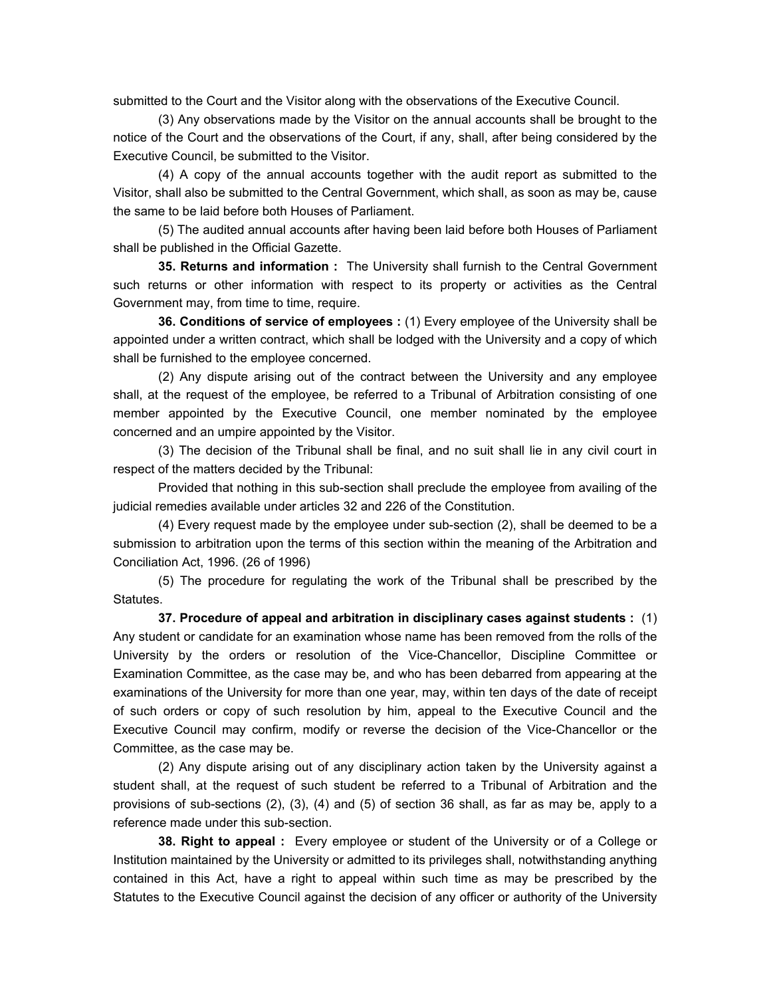submitted to the Court and the Visitor along with the observations of the Executive Council.

 (3) Any observations made by the Visitor on the annual accounts shall be brought to the notice of the Court and the observations of the Court, if any, shall, after being considered by the Executive Council, be submitted to the Visitor.

 (4) A copy of the annual accounts together with the audit report as submitted to the Visitor, shall also be submitted to the Central Government, which shall, as soon as may be, cause the same to be laid before both Houses of Parliament.

 (5) The audited annual accounts after having been laid before both Houses of Parliament shall be published in the Official Gazette.

 **35. Returns and information :** The University shall furnish to the Central Government such returns or other information with respect to its property or activities as the Central Government may, from time to time, require.

 **36. Conditions of service of employees :** (1) Every employee of the University shall be appointed under a written contract, which shall be lodged with the University and a copy of which shall be furnished to the employee concerned.

 (2) Any dispute arising out of the contract between the University and any employee shall, at the request of the employee, be referred to a Tribunal of Arbitration consisting of one member appointed by the Executive Council, one member nominated by the employee concerned and an umpire appointed by the Visitor.

 (3) The decision of the Tribunal shall be final, and no suit shall lie in any civil court in respect of the matters decided by the Tribunal:

 Provided that nothing in this sub-section shall preclude the employee from availing of the judicial remedies available under articles 32 and 226 of the Constitution.

(4) Every request made by the employee under sub-section (2), shall be deemed to be a submission to arbitration upon the terms of this section within the meaning of the Arbitration and Conciliation Act, 1996. (26 of 1996)

 (5) The procedure for regulating the work of the Tribunal shall be prescribed by the Statutes.

 **37. Procedure of appeal and arbitration in disciplinary cases against students :** (1) Any student or candidate for an examination whose name has been removed from the rolls of the University by the orders or resolution of the Vice-Chancellor, Discipline Committee or Examination Committee, as the case may be, and who has been debarred from appearing at the examinations of the University for more than one year, may, within ten days of the date of receipt of such orders or copy of such resolution by him, appeal to the Executive Council and the Executive Council may confirm, modify or reverse the decision of the Vice-Chancellor or the Committee, as the case may be.

 (2) Any dispute arising out of any disciplinary action taken by the University against a student shall, at the request of such student be referred to a Tribunal of Arbitration and the provisions of sub-sections (2), (3), (4) and (5) of section 36 shall, as far as may be, apply to a reference made under this sub-section.

 **38. Right to appeal :** Every employee or student of the University or of a College or Institution maintained by the University or admitted to its privileges shall, notwithstanding anything contained in this Act, have a right to appeal within such time as may be prescribed by the Statutes to the Executive Council against the decision of any officer or authority of the University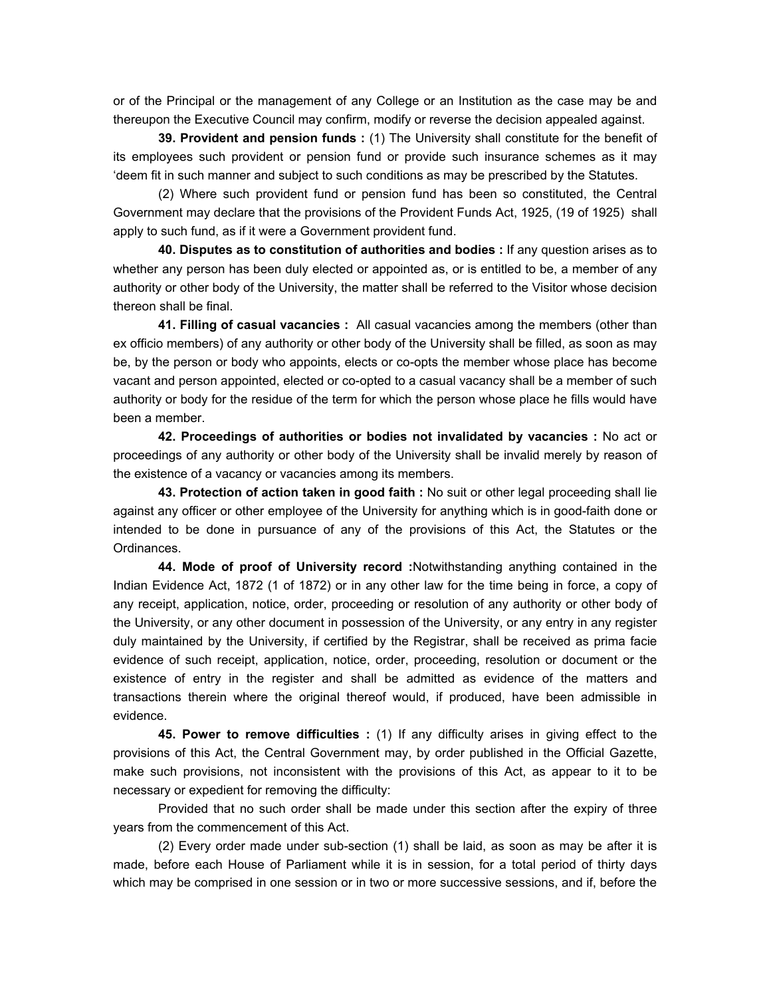or of the Principal or the management of any College or an Institution as the case may be and thereupon the Executive Council may confirm, modify or reverse the decision appealed against.

 **39. Provident and pension funds :** (1) The University shall constitute for the benefit of its employees such provident or pension fund or provide such insurance schemes as it may 'deem fit in such manner and subject to such conditions as may be prescribed by the Statutes.

 (2) Where such provident fund or pension fund has been so constituted, the Central Government may declare that the provisions of the Provident Funds Act, 1925, (19 of 1925) shall apply to such fund, as if it were a Government provident fund.

 **40. Disputes as to constitution of authorities and bodies :** If any question arises as to whether any person has been duly elected or appointed as, or is entitled to be, a member of any authority or other body of the University, the matter shall be referred to the Visitor whose decision thereon shall be final.

 **41. Filling of casual vacancies :** All casual vacancies among the members (other than ex officio members) of any authority or other body of the University shall be filled, as soon as may be, by the person or body who appoints, elects or co-opts the member whose place has become vacant and person appointed, elected or co-opted to a casual vacancy shall be a member of such authority or body for the residue of the term for which the person whose place he fills would have been a member.

 **42. Proceedings of authorities or bodies not invalidated by vacancies :** No act or proceedings of any authority or other body of the University shall be invalid merely by reason of the existence of a vacancy or vacancies among its members.

 **43. Protection of action taken in good faith :** No suit or other legal proceeding shall lie against any officer or other employee of the University for anything which is in good-faith done or intended to be done in pursuance of any of the provisions of this Act, the Statutes or the Ordinances.

 **44. Mode of proof of University record :**Notwithstanding anything contained in the Indian Evidence Act, 1872 (1 of 1872) or in any other law for the time being in force, a copy of any receipt, application, notice, order, proceeding or resolution of any authority or other body of the University, or any other document in possession of the University, or any entry in any register duly maintained by the University, if certified by the Registrar, shall be received as prima facie evidence of such receipt, application, notice, order, proceeding, resolution or document or the existence of entry in the register and shall be admitted as evidence of the matters and transactions therein where the original thereof would, if produced, have been admissible in evidence.

 **45. Power to remove difficulties :** (1) If any difficulty arises in giving effect to the provisions of this Act, the Central Government may, by order published in the Official Gazette, make such provisions, not inconsistent with the provisions of this Act, as appear to it to be necessary or expedient for removing the difficulty:

 Provided that no such order shall be made under this section after the expiry of three years from the commencement of this Act.

 (2) Every order made under sub-section (1) shall be laid, as soon as may be after it is made, before each House of Parliament while it is in session, for a total period of thirty days which may be comprised in one session or in two or more successive sessions, and if, before the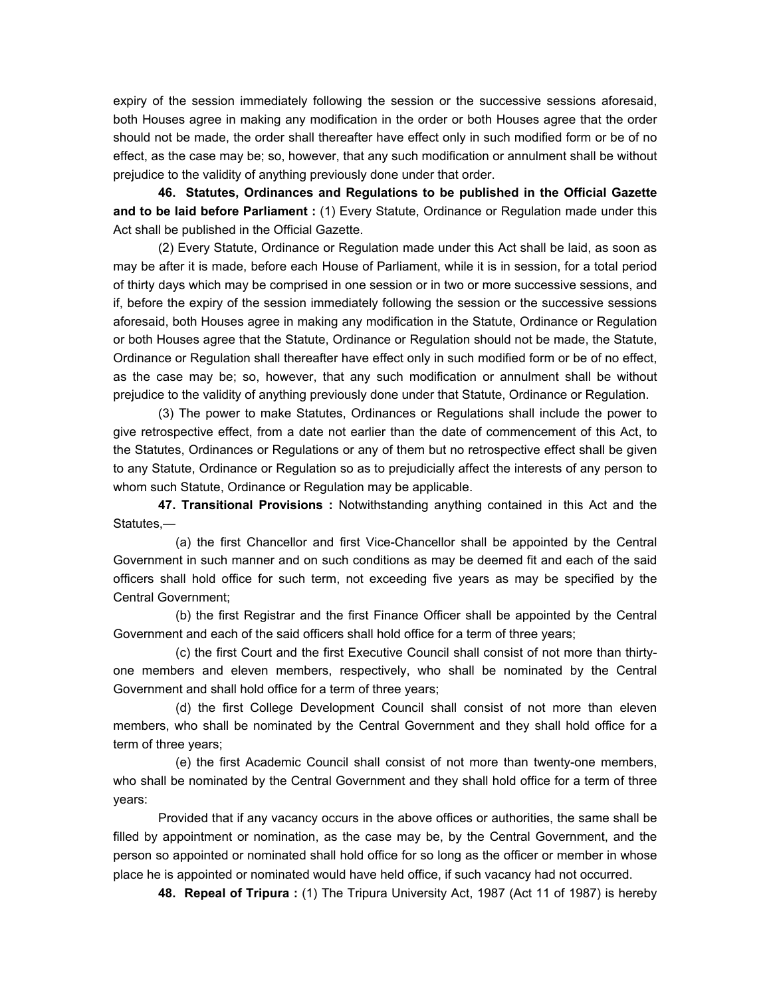expiry of the session immediately following the session or the successive sessions aforesaid, both Houses agree in making any modification in the order or both Houses agree that the order should not be made, the order shall thereafter have effect only in such modified form or be of no effect, as the case may be; so, however, that any such modification or annulment shall be without prejudice to the validity of anything previously done under that order.

 **46. Statutes, Ordinances and Regulations to be published in the Official Gazette and to be laid before Parliament :** (1) Every Statute, Ordinance or Regulation made under this Act shall be published in the Official Gazette.

 (2) Every Statute, Ordinance or Regulation made under this Act shall be laid, as soon as may be after it is made, before each House of Parliament, while it is in session, for a total period of thirty days which may be comprised in one session or in two or more successive sessions, and if, before the expiry of the session immediately following the session or the successive sessions aforesaid, both Houses agree in making any modification in the Statute, Ordinance or Regulation or both Houses agree that the Statute, Ordinance or Regulation should not be made, the Statute, Ordinance or Regulation shall thereafter have effect only in such modified form or be of no effect, as the case may be; so, however, that any such modification or annulment shall be without prejudice to the validity of anything previously done under that Statute, Ordinance or Regulation.

 (3) The power to make Statutes, Ordinances or Regulations shall include the power to give retrospective effect, from a date not earlier than the date of commencement of this Act, to the Statutes, Ordinances or Regulations or any of them but no retrospective effect shall be given to any Statute, Ordinance or Regulation so as to prejudicially affect the interests of any person to whom such Statute, Ordinance or Regulation may be applicable.

 **47. Transitional Provisions :** Notwithstanding anything contained in this Act and the Statutes,—

 (a) the first Chancellor and first Vice-Chancellor shall be appointed by the Central Government in such manner and on such conditions as may be deemed fit and each of the said officers shall hold office for such term, not exceeding five years as may be specified by the Central Government;

 (b) the first Registrar and the first Finance Officer shall be appointed by the Central Government and each of the said officers shall hold office for a term of three years;

 (c) the first Court and the first Executive Council shall consist of not more than thirtyone members and eleven members, respectively, who shall be nominated by the Central Government and shall hold office for a term of three years;

 (d) the first College Development Council shall consist of not more than eleven members, who shall be nominated by the Central Government and they shall hold office for a term of three years;

 (e) the first Academic Council shall consist of not more than twenty-one members, who shall be nominated by the Central Government and they shall hold office for a term of three years:

 Provided that if any vacancy occurs in the above offices or authorities, the same shall be filled by appointment or nomination, as the case may be, by the Central Government, and the person so appointed or nominated shall hold office for so long as the officer or member in whose place he is appointed or nominated would have held office, if such vacancy had not occurred.

 **48. Repeal of Tripura :** (1) The Tripura University Act, 1987 (Act 11 of 1987) is hereby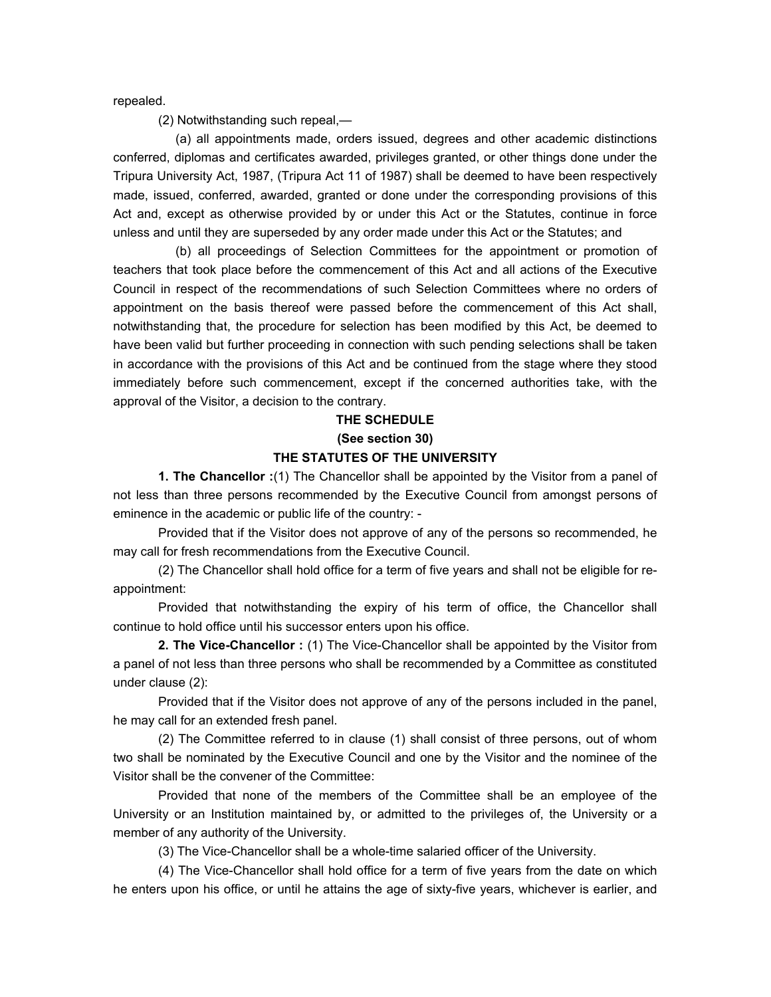repealed.

(2) Notwithstanding such repeal,—

 (a) all appointments made, orders issued, degrees and other academic distinctions conferred, diplomas and certificates awarded, privileges granted, or other things done under the Tripura University Act, 1987, (Tripura Act 11 of 1987) shall be deemed to have been respectively made, issued, conferred, awarded, granted or done under the corresponding provisions of this Act and, except as otherwise provided by or under this Act or the Statutes, continue in force unless and until they are superseded by any order made under this Act or the Statutes; and

 (b) all proceedings of Selection Committees for the appointment or promotion of teachers that took place before the commencement of this Act and all actions of the Executive Council in respect of the recommendations of such Selection Committees where no orders of appointment on the basis thereof were passed before the commencement of this Act shall, notwithstanding that, the procedure for selection has been modified by this Act, be deemed to have been valid but further proceeding in connection with such pending selections shall be taken in accordance with the provisions of this Act and be continued from the stage where they stood immediately before such commencement, except if the concerned authorities take, with the approval of the Visitor, a decision to the contrary.

### **THE SCHEDULE (See section 30) THE STATUTES OF THE UNIVERSITY**

 **1. The Chancellor :**(1) The Chancellor shall be appointed by the Visitor from a panel of not less than three persons recommended by the Executive Council from amongst persons of eminence in the academic or public life of the country: -

 Provided that if the Visitor does not approve of any of the persons so recommended, he may call for fresh recommendations from the Executive Council.

 (2) The Chancellor shall hold office for a term of five years and shall not be eligible for reappointment:

 Provided that notwithstanding the expiry of his term of office, the Chancellor shall continue to hold office until his successor enters upon his office.

**2. The Vice-Chancellor :** (1) The Vice-Chancellor shall be appointed by the Visitor from a panel of not less than three persons who shall be recommended by a Committee as constituted under clause (2):

 Provided that if the Visitor does not approve of any of the persons included in the panel, he may call for an extended fresh panel.

 (2) The Committee referred to in clause (1) shall consist of three persons, out of whom two shall be nominated by the Executive Council and one by the Visitor and the nominee of the Visitor shall be the convener of the Committee:

 Provided that none of the members of the Committee shall be an employee of the University or an Institution maintained by, or admitted to the privileges of, the University or a member of any authority of the University.

(3) The Vice-Chancellor shall be a whole-time salaried officer of the University.

 (4) The Vice-Chancellor shall hold office for a term of five years from the date on which he enters upon his office, or until he attains the age of sixty-five years, whichever is earlier, and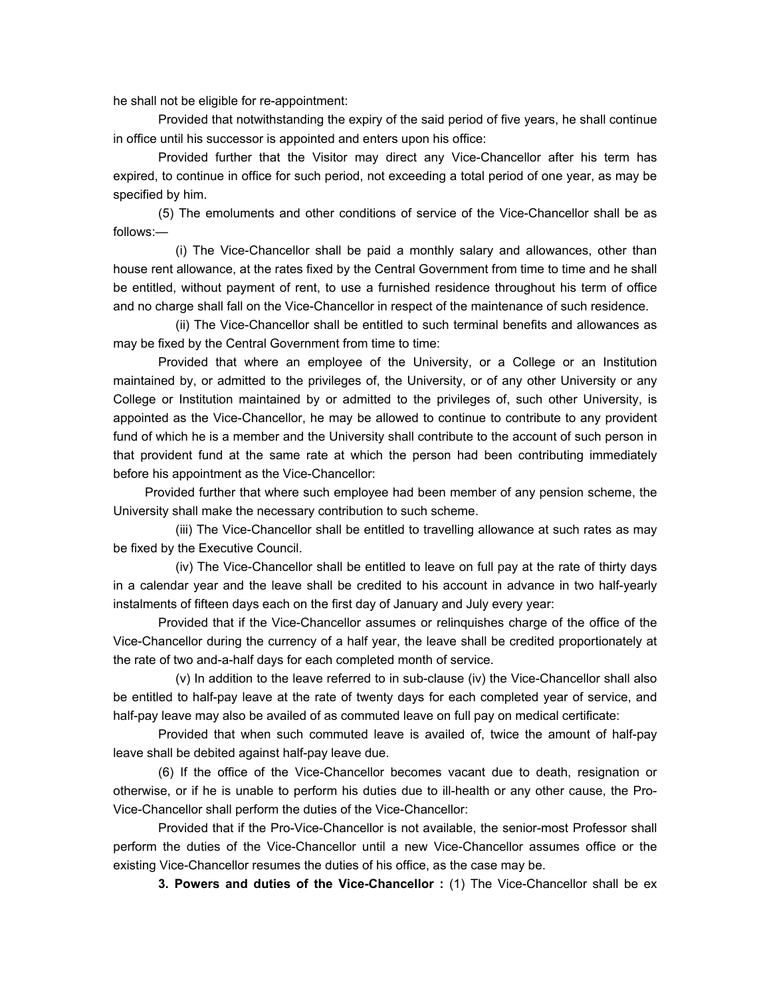he shall not be eligible for re-appointment:

 Provided that notwithstanding the expiry of the said period of five years, he shall continue in office until his successor is appointed and enters upon his office:

 Provided further that the Visitor may direct any Vice-Chancellor after his term has expired, to continue in office for such period, not exceeding a total period of one year, as may be specified by him.

 (5) The emoluments and other conditions of service of the Vice-Chancellor shall be as follows:—

 (i) The Vice-Chancellor shall be paid a monthly salary and allowances, other than house rent allowance, at the rates fixed by the Central Government from time to time and he shall be entitled, without payment of rent, to use a furnished residence throughout his term of office and no charge shall fall on the Vice-Chancellor in respect of the maintenance of such residence.

 (ii) The Vice-Chancellor shall be entitled to such terminal benefits and allowances as may be fixed by the Central Government from time to time:

Provided that where an employee of the University, or a College or an Institution maintained by, or admitted to the privileges of, the University, or of any other University or any College or Institution maintained by or admitted to the privileges of, such other University, is appointed as the Vice-Chancellor, he may be allowed to continue to contribute to any provident fund of which he is a member and the University shall contribute to the account of such person in that provident fund at the same rate at which the person had been contributing immediately before his appointment as the Vice-Chancellor:

 Provided further that where such employee had been member of any pension scheme, the University shall make the necessary contribution to such scheme.

 (iii) The Vice-Chancellor shall be entitled to travelling allowance at such rates as may be fixed by the Executive Council.

 (iv) The Vice-Chancellor shall be entitled to leave on full pay at the rate of thirty days in a calendar year and the leave shall be credited to his account in advance in two half-yearly instalments of fifteen days each on the first day of January and July every year:

 Provided that if the Vice-Chancellor assumes or relinquishes charge of the office of the Vice-Chancellor during the currency of a half year, the leave shall be credited proportionately at the rate of two and-a-half days for each completed month of service.

 (v) In addition to the leave referred to in sub-clause (iv) the Vice-Chancellor shall also be entitled to half-pay leave at the rate of twenty days for each completed year of service, and half-pay leave may also be availed of as commuted leave on full pay on medical certificate:

 Provided that when such commuted leave is availed of, twice the amount of half-pay leave shall be debited against half-pay leave due.

 (6) If the office of the Vice-Chancellor becomes vacant due to death, resignation or otherwise, or if he is unable to perform his duties due to ill-health or any other cause, the Pro-Vice-Chancellor shall perform the duties of the Vice-Chancellor:

 Provided that if the Pro-Vice-Chancellor is not available, the senior-most Professor shall perform the duties of the Vice-Chancellor until a new Vice-Chancellor assumes office or the existing Vice-Chancellor resumes the duties of his office, as the case may be.

 **3. Powers and duties of the Vice-Chancellor :** (1) The Vice-Chancellor shall be ex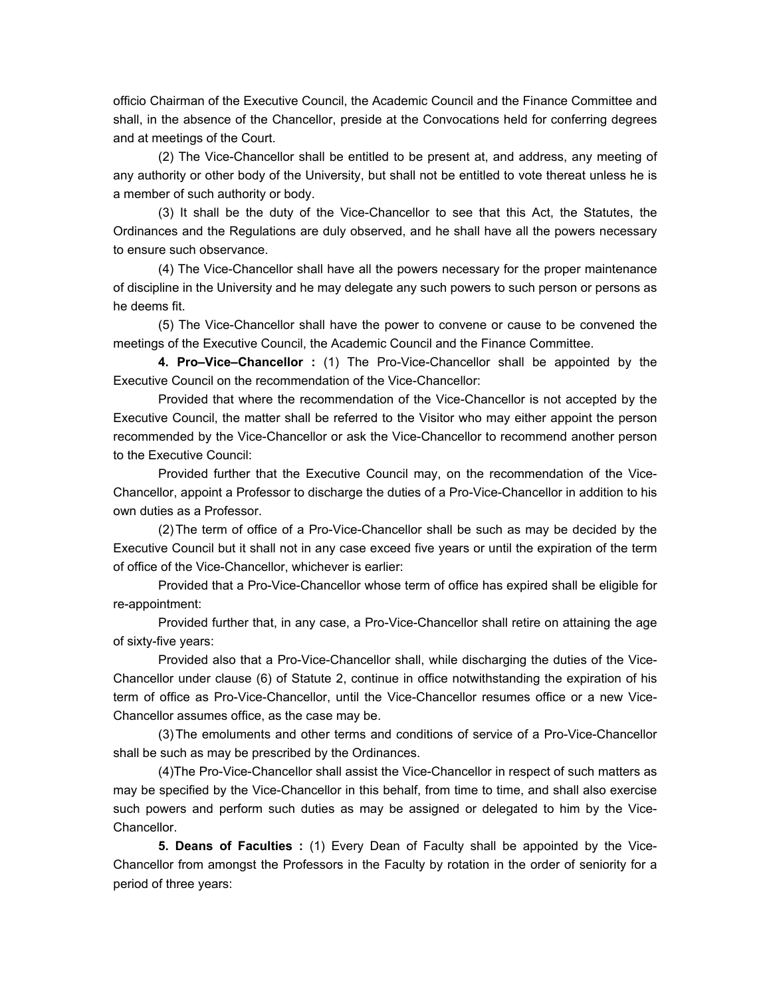officio Chairman of the Executive Council, the Academic Council and the Finance Committee and shall, in the absence of the Chancellor, preside at the Convocations held for conferring degrees and at meetings of the Court.

 (2) The Vice-Chancellor shall be entitled to be present at, and address, any meeting of any authority or other body of the University, but shall not be entitled to vote thereat unless he is a member of such authority or body.

 (3) It shall be the duty of the Vice-Chancellor to see that this Act, the Statutes, the Ordinances and the Regulations are duly observed, and he shall have all the powers necessary to ensure such observance.

 (4) The Vice-Chancellor shall have all the powers necessary for the proper maintenance of discipline in the University and he may delegate any such powers to such person or persons as he deems fit.

 (5) The Vice-Chancellor shall have the power to convene or cause to be convened the meetings of the Executive Council, the Academic Council and the Finance Committee.

 **4. Pro–Vice–Chancellor :** (1) The Pro-Vice-Chancellor shall be appointed by the Executive Council on the recommendation of the Vice-Chancellor:

 Provided that where the recommendation of the Vice-Chancellor is not accepted by the Executive Council, the matter shall be referred to the Visitor who may either appoint the person recommended by the Vice-Chancellor or ask the Vice-Chancellor to recommend another person to the Executive Council:

 Provided further that the Executive Council may, on the recommendation of the Vice-Chancellor, appoint a Professor to discharge the duties of a Pro-Vice-Chancellor in addition to his own duties as a Professor.

 (2) The term of office of a Pro-Vice-Chancellor shall be such as may be decided by the Executive Council but it shall not in any case exceed five years or until the expiration of the term of office of the Vice-Chancellor, whichever is earlier:

 Provided that a Pro-Vice-Chancellor whose term of office has expired shall be eligible for re-appointment:

 Provided further that, in any case, a Pro-Vice-Chancellor shall retire on attaining the age of sixty-five years:

 Provided also that a Pro-Vice-Chancellor shall, while discharging the duties of the Vice-Chancellor under clause (6) of Statute 2, continue in office notwithstanding the expiration of his term of office as Pro-Vice-Chancellor, until the Vice-Chancellor resumes office or a new Vice-Chancellor assumes office, as the case may be.

 (3) The emoluments and other terms and conditions of service of a Pro-Vice-Chancellor shall be such as may be prescribed by the Ordinances.

 (4)The Pro-Vice-Chancellor shall assist the Vice-Chancellor in respect of such matters as may be specified by the Vice-Chancellor in this behalf, from time to time, and shall also exercise such powers and perform such duties as may be assigned or delegated to him by the Vice-Chancellor.

 **5. Deans of Faculties :** (1) Every Dean of Faculty shall be appointed by the Vice-Chancellor from amongst the Professors in the Faculty by rotation in the order of seniority for a period of three years: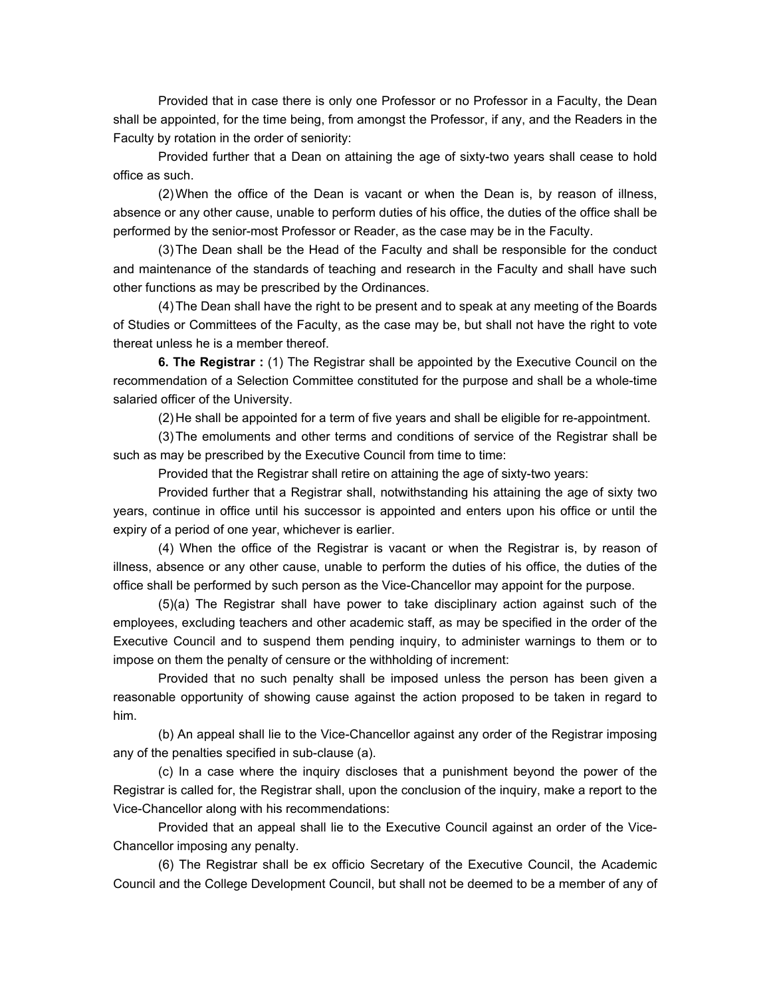Provided that in case there is only one Professor or no Professor in a Faculty, the Dean shall be appointed, for the time being, from amongst the Professor, if any, and the Readers in the Faculty by rotation in the order of seniority:

 Provided further that a Dean on attaining the age of sixty-two years shall cease to hold office as such.

 (2) When the office of the Dean is vacant or when the Dean is, by reason of illness, absence or any other cause, unable to perform duties of his office, the duties of the office shall be performed by the senior-most Professor or Reader, as the case may be in the Faculty.

 (3) The Dean shall be the Head of the Faculty and shall be responsible for the conduct and maintenance of the standards of teaching and research in the Faculty and shall have such other functions as may be prescribed by the Ordinances.

 (4) The Dean shall have the right to be present and to speak at any meeting of the Boards of Studies or Committees of the Faculty, as the case may be, but shall not have the right to vote thereat unless he is a member thereof.

 **6. The Registrar :** (1) The Registrar shall be appointed by the Executive Council on the recommendation of a Selection Committee constituted for the purpose and shall be a whole-time salaried officer of the University.

(2) He shall be appointed for a term of five years and shall be eligible for re-appointment.

 (3) The emoluments and other terms and conditions of service of the Registrar shall be such as may be prescribed by the Executive Council from time to time:

Provided that the Registrar shall retire on attaining the age of sixty-two years:

 Provided further that a Registrar shall, notwithstanding his attaining the age of sixty two years, continue in office until his successor is appointed and enters upon his office or until the expiry of a period of one year, whichever is earlier.

 (4) When the office of the Registrar is vacant or when the Registrar is, by reason of illness, absence or any other cause, unable to perform the duties of his office, the duties of the office shall be performed by such person as the Vice-Chancellor may appoint for the purpose.

 (5)(a) The Registrar shall have power to take disciplinary action against such of the employees, excluding teachers and other academic staff, as may be specified in the order of the Executive Council and to suspend them pending inquiry, to administer warnings to them or to impose on them the penalty of censure or the withholding of increment:

 Provided that no such penalty shall be imposed unless the person has been given a reasonable opportunity of showing cause against the action proposed to be taken in regard to him.

 (b) An appeal shall lie to the Vice-Chancellor against any order of the Registrar imposing any of the penalties specified in sub-clause (a).

 (c) In a case where the inquiry discloses that a punishment beyond the power of the Registrar is called for, the Registrar shall, upon the conclusion of the inquiry, make a report to the Vice-Chancellor along with his recommendations:

 Provided that an appeal shall lie to the Executive Council against an order of the Vice-Chancellor imposing any penalty.

 (6) The Registrar shall be ex officio Secretary of the Executive Council, the Academic Council and the College Development Council, but shall not be deemed to be a member of any of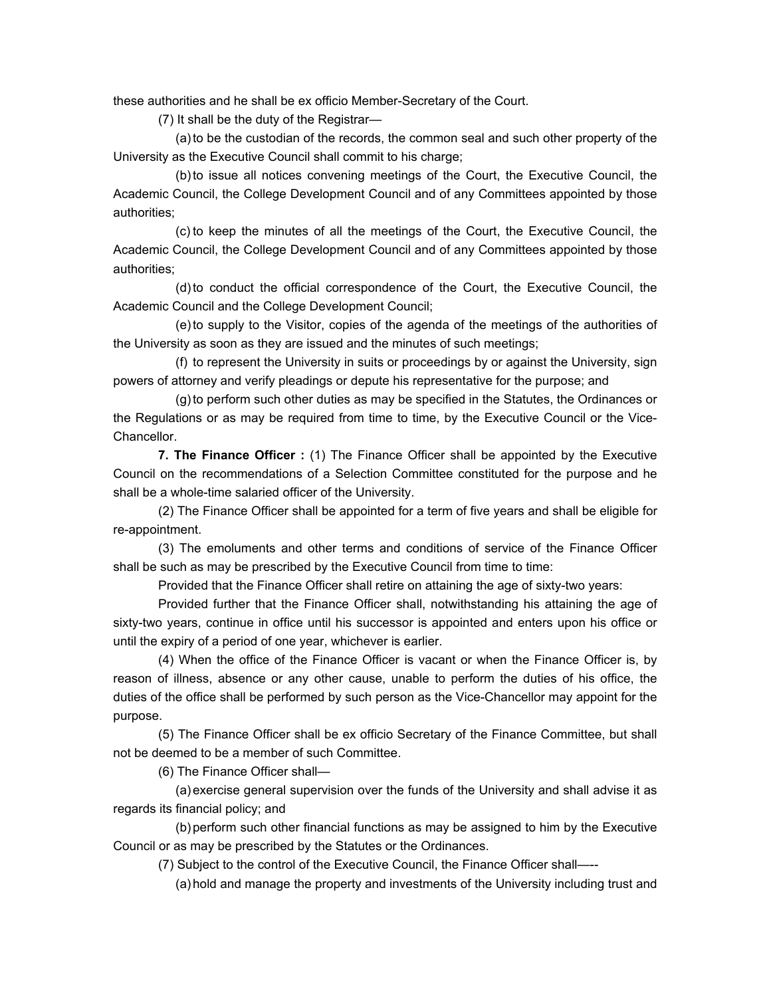these authorities and he shall be ex officio Member-Secretary of the Court.

(7) It shall be the duty of the Registrar—

 (a) to be the custodian of the records, the common seal and such other property of the University as the Executive Council shall commit to his charge;

 (b) to issue all notices convening meetings of the Court, the Executive Council, the Academic Council, the College Development Council and of any Committees appointed by those authorities;

 (c) to keep the minutes of all the meetings of the Court, the Executive Council, the Academic Council, the College Development Council and of any Committees appointed by those authorities;

 (d) to conduct the official correspondence of the Court, the Executive Council, the Academic Council and the College Development Council;

 (e) to supply to the Visitor, copies of the agenda of the meetings of the authorities of the University as soon as they are issued and the minutes of such meetings;

 (f) to represent the University in suits or proceedings by or against the University, sign powers of attorney and verify pleadings or depute his representative for the purpose; and

 (g) to perform such other duties as may be specified in the Statutes, the Ordinances or the Regulations or as may be required from time to time, by the Executive Council or the Vice-Chancellor.

 **7. The Finance Officer :** (1) The Finance Officer shall be appointed by the Executive Council on the recommendations of a Selection Committee constituted for the purpose and he shall be a whole-time salaried officer of the University.

 (2) The Finance Officer shall be appointed for a term of five years and shall be eligible for re-appointment.

 (3) The emoluments and other terms and conditions of service of the Finance Officer shall be such as may be prescribed by the Executive Council from time to time:

Provided that the Finance Officer shall retire on attaining the age of sixty-two years:

 Provided further that the Finance Officer shall, notwithstanding his attaining the age of sixty-two years, continue in office until his successor is appointed and enters upon his office or until the expiry of a period of one year, whichever is earlier.

 (4) When the office of the Finance Officer is vacant or when the Finance Officer is, by reason of illness, absence or any other cause, unable to perform the duties of his office, the duties of the office shall be performed by such person as the Vice-Chancellor may appoint for the purpose.

 (5) The Finance Officer shall be ex officio Secretary of the Finance Committee, but shall not be deemed to be a member of such Committee.

(6) The Finance Officer shall—

 (a) exercise general supervision over the funds of the University and shall advise it as regards its financial policy; and

 (b) perform such other financial functions as may be assigned to him by the Executive Council or as may be prescribed by the Statutes or the Ordinances.

(7) Subject to the control of the Executive Council, the Finance Officer shall-

(a) hold and manage the property and investments of the University including trust and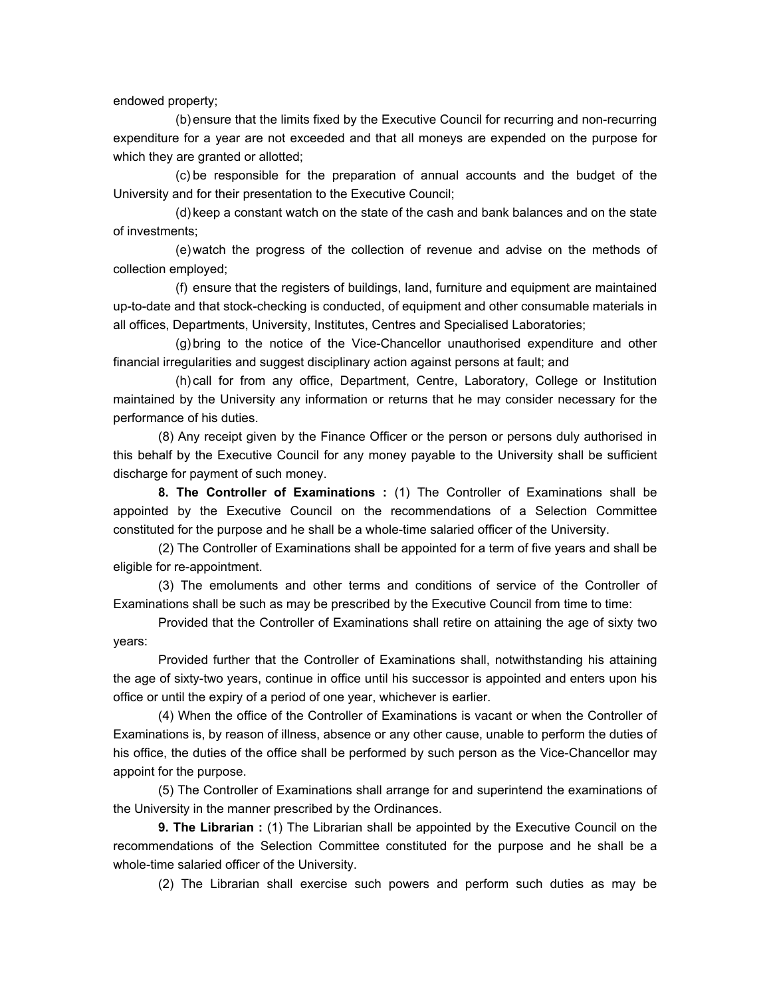endowed property;

 (b) ensure that the limits fixed by the Executive Council for recurring and non-recurring expenditure for a year are not exceeded and that all moneys are expended on the purpose for which they are granted or allotted;

 (c) be responsible for the preparation of annual accounts and the budget of the University and for their presentation to the Executive Council;

 (d) keep a constant watch on the state of the cash and bank balances and on the state of investments;

 (e) watch the progress of the collection of revenue and advise on the methods of collection employed;

 (f) ensure that the registers of buildings, land, furniture and equipment are maintained up-to-date and that stock-checking is conducted, of equipment and other consumable materials in all offices, Departments, University, Institutes, Centres and Specialised Laboratories;

 (g) bring to the notice of the Vice-Chancellor unauthorised expenditure and other financial irregularities and suggest disciplinary action against persons at fault; and

 (h) call for from any office, Department, Centre, Laboratory, College or Institution maintained by the University any information or returns that he may consider necessary for the performance of his duties.

(8) Any receipt given by the Finance Officer or the person or persons duly authorised in this behalf by the Executive Council for any money payable to the University shall be sufficient discharge for payment of such money.

 **8. The Controller of Examinations :** (1) The Controller of Examinations shall be appointed by the Executive Council on the recommendations of a Selection Committee constituted for the purpose and he shall be a whole-time salaried officer of the University.

 (2) The Controller of Examinations shall be appointed for a term of five years and shall be eligible for re-appointment.

 (3) The emoluments and other terms and conditions of service of the Controller of Examinations shall be such as may be prescribed by the Executive Council from time to time:

 Provided that the Controller of Examinations shall retire on attaining the age of sixty two years:

 Provided further that the Controller of Examinations shall, notwithstanding his attaining the age of sixty-two years, continue in office until his successor is appointed and enters upon his office or until the expiry of a period of one year, whichever is earlier.

 (4) When the office of the Controller of Examinations is vacant or when the Controller of Examinations is, by reason of illness, absence or any other cause, unable to perform the duties of his office, the duties of the office shall be performed by such person as the Vice-Chancellor may appoint for the purpose.

 (5) The Controller of Examinations shall arrange for and superintend the examinations of the University in the manner prescribed by the Ordinances.

 **9. The Librarian :** (1) The Librarian shall be appointed by the Executive Council on the recommendations of the Selection Committee constituted for the purpose and he shall be a whole-time salaried officer of the University.

(2) The Librarian shall exercise such powers and perform such duties as may be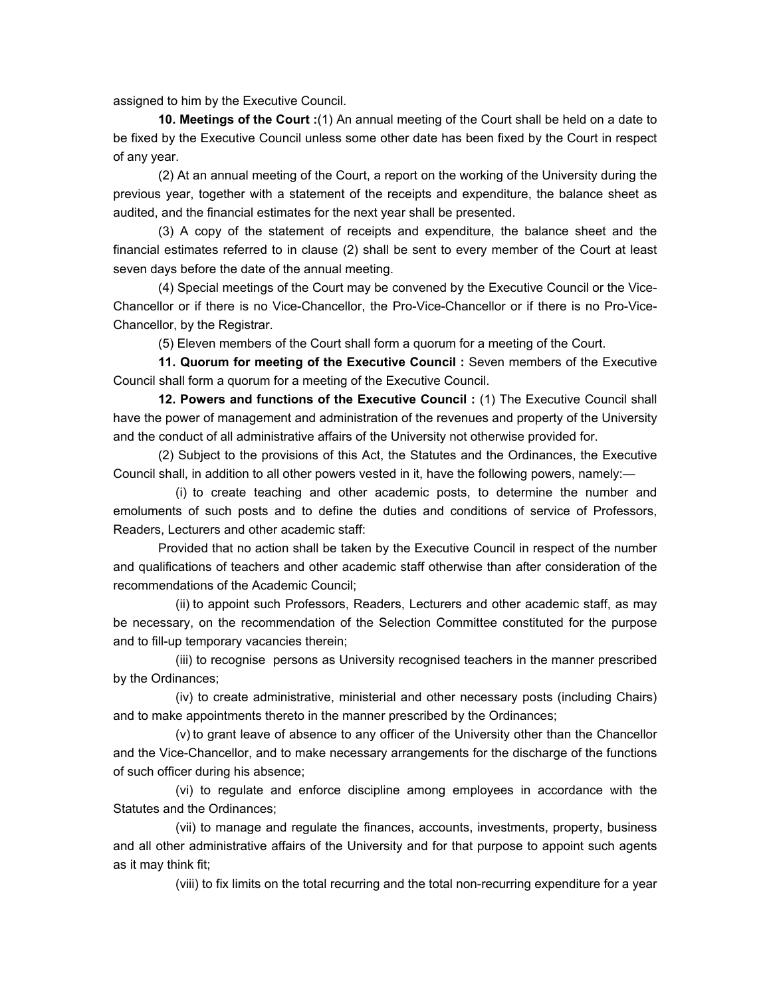assigned to him by the Executive Council.

 **10. Meetings of the Court :**(1) An annual meeting of the Court shall be held on a date to be fixed by the Executive Council unless some other date has been fixed by the Court in respect of any year.

 (2) At an annual meeting of the Court, a report on the working of the University during the previous year, together with a statement of the receipts and expenditure, the balance sheet as audited, and the financial estimates for the next year shall be presented.

 (3) A copy of the statement of receipts and expenditure, the balance sheet and the financial estimates referred to in clause (2) shall be sent to every member of the Court at least seven days before the date of the annual meeting.

 (4) Special meetings of the Court may be convened by the Executive Council or the Vice-Chancellor or if there is no Vice-Chancellor, the Pro-Vice-Chancellor or if there is no Pro-Vice-Chancellor, by the Registrar.

(5) Eleven members of the Court shall form a quorum for a meeting of the Court.

 **11. Quorum for meeting of the Executive Council :** Seven members of the Executive Council shall form a quorum for a meeting of the Executive Council.

 **12. Powers and functions of the Executive Council :** (1) The Executive Council shall have the power of management and administration of the revenues and property of the University and the conduct of all administrative affairs of the University not otherwise provided for.

 (2) Subject to the provisions of this Act, the Statutes and the Ordinances, the Executive Council shall, in addition to all other powers vested in it, have the following powers, namely:—

 (i) to create teaching and other academic posts, to determine the number and emoluments of such posts and to define the duties and conditions of service of Professors, Readers, Lecturers and other academic staff:

 Provided that no action shall be taken by the Executive Council in respect of the number and qualifications of teachers and other academic staff otherwise than after consideration of the recommendations of the Academic Council;

 (ii) to appoint such Professors, Readers, Lecturers and other academic staff, as may be necessary, on the recommendation of the Selection Committee constituted for the purpose and to fill-up temporary vacancies therein;

 (iii) to recognise persons as University recognised teachers in the manner prescribed by the Ordinances;

 (iv) to create administrative, ministerial and other necessary posts (including Chairs) and to make appointments thereto in the manner prescribed by the Ordinances;

 (v) to grant leave of absence to any officer of the University other than the Chancellor and the Vice-Chancellor, and to make necessary arrangements for the discharge of the functions of such officer during his absence;

 (vi) to regulate and enforce discipline among employees in accordance with the Statutes and the Ordinances;

 (vii) to manage and regulate the finances, accounts, investments, property, business and all other administrative affairs of the University and for that purpose to appoint such agents as it may think fit;

(viii) to fix limits on the total recurring and the total non-recurring expenditure for a year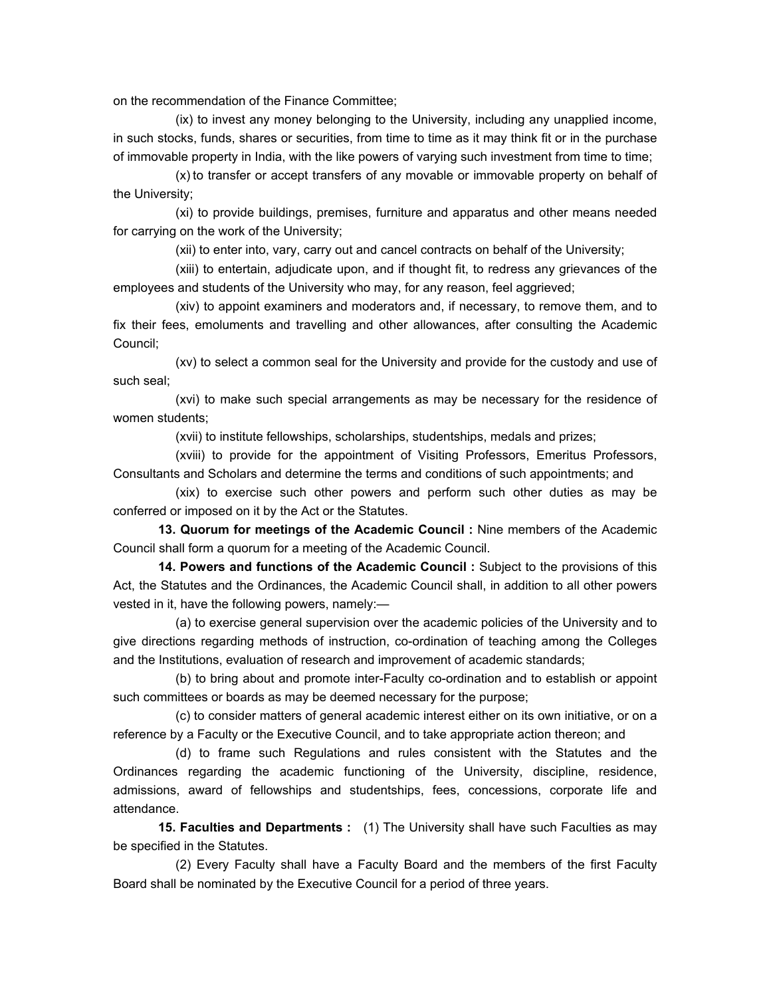on the recommendation of the Finance Committee;

 (ix) to invest any money belonging to the University, including any unapplied income, in such stocks, funds, shares or securities, from time to time as it may think fit or in the purchase of immovable property in India, with the like powers of varying such investment from time to time;

 (x) to transfer or accept transfers of any movable or immovable property on behalf of the University;

 (xi) to provide buildings, premises, furniture and apparatus and other means needed for carrying on the work of the University;

(xii) to enter into, vary, carry out and cancel contracts on behalf of the University;

 (xiii) to entertain, adjudicate upon, and if thought fit, to redress any grievances of the employees and students of the University who may, for any reason, feel aggrieved;

 (xiv) to appoint examiners and moderators and, if necessary, to remove them, and to fix their fees, emoluments and travelling and other allowances, after consulting the Academic Council;

 (xv) to select a common seal for the University and provide for the custody and use of such seal;

 (xvi) to make such special arrangements as may be necessary for the residence of women students;

(xvii) to institute fellowships, scholarships, studentships, medals and prizes;

 (xviii) to provide for the appointment of Visiting Professors, Emeritus Professors, Consultants and Scholars and determine the terms and conditions of such appointments; and

 (xix) to exercise such other powers and perform such other duties as may be conferred or imposed on it by the Act or the Statutes.

 **13. Quorum for meetings of the Academic Council :** Nine members of the Academic Council shall form a quorum for a meeting of the Academic Council.

 **14. Powers and functions of the Academic Council :** Subject to the provisions of this Act, the Statutes and the Ordinances, the Academic Council shall, in addition to all other powers vested in it, have the following powers, namely:—

 (a) to exercise general supervision over the academic policies of the University and to give directions regarding methods of instruction, co-ordination of teaching among the Colleges and the Institutions, evaluation of research and improvement of academic standards;

 (b) to bring about and promote inter-Faculty co-ordination and to establish or appoint such committees or boards as may be deemed necessary for the purpose;

 (c) to consider matters of general academic interest either on its own initiative, or on a reference by a Faculty or the Executive Council, and to take appropriate action thereon; and

 (d) to frame such Regulations and rules consistent with the Statutes and the Ordinances regarding the academic functioning of the University, discipline, residence, admissions, award of fellowships and studentships, fees, concessions, corporate life and attendance.

 **15. Faculties and Departments :** (1) The University shall have such Faculties as may be specified in the Statutes.

 (2) Every Faculty shall have a Faculty Board and the members of the first Faculty Board shall be nominated by the Executive Council for a period of three years.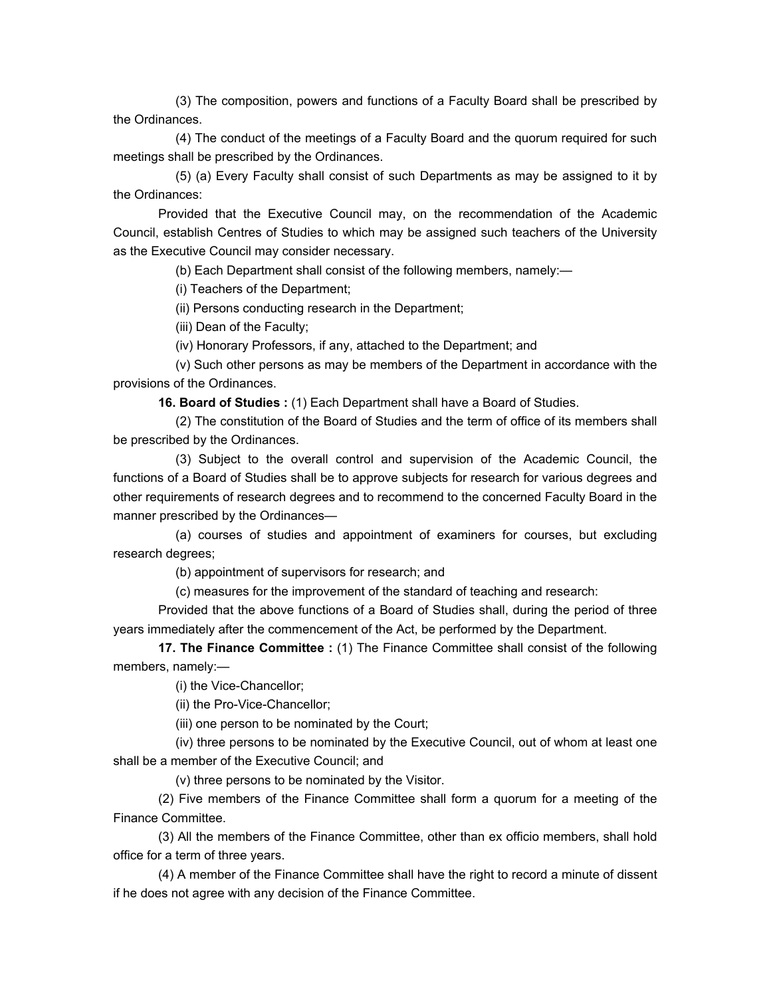(3) The composition, powers and functions of a Faculty Board shall be prescribed by the Ordinances.

 (4) The conduct of the meetings of a Faculty Board and the quorum required for such meetings shall be prescribed by the Ordinances.

 (5) (a) Every Faculty shall consist of such Departments as may be assigned to it by the Ordinances:

 Provided that the Executive Council may, on the recommendation of the Academic Council, establish Centres of Studies to which may be assigned such teachers of the University as the Executive Council may consider necessary.

(b) Each Department shall consist of the following members, namely:—

(i) Teachers of the Department;

(ii) Persons conducting research in the Department;

(iii) Dean of the Faculty;

(iv) Honorary Professors, if any, attached to the Department; and

 (v) Such other persons as may be members of the Department in accordance with the provisions of the Ordinances.

 **16. Board of Studies :** (1) Each Department shall have a Board of Studies.

 (2) The constitution of the Board of Studies and the term of office of its members shall be prescribed by the Ordinances.

 (3) Subject to the overall control and supervision of the Academic Council, the functions of a Board of Studies shall be to approve subjects for research for various degrees and other requirements of research degrees and to recommend to the concerned Faculty Board in the manner prescribed by the Ordinances—

 (a) courses of studies and appointment of examiners for courses, but excluding research degrees;

(b) appointment of supervisors for research; and

(c) measures for the improvement of the standard of teaching and research:

 Provided that the above functions of a Board of Studies shall, during the period of three years immediately after the commencement of the Act, be performed by the Department.

 **17. The Finance Committee :** (1) The Finance Committee shall consist of the following members, namely:—

(i) the Vice-Chancellor;

(ii) the Pro-Vice-Chancellor;

(iii) one person to be nominated by the Court;

 (iv) three persons to be nominated by the Executive Council, out of whom at least one shall be a member of the Executive Council; and

(v) three persons to be nominated by the Visitor.

 (2) Five members of the Finance Committee shall form a quorum for a meeting of the Finance Committee.

 (3) All the members of the Finance Committee, other than ex officio members, shall hold office for a term of three years.

 (4) A member of the Finance Committee shall have the right to record a minute of dissent if he does not agree with any decision of the Finance Committee.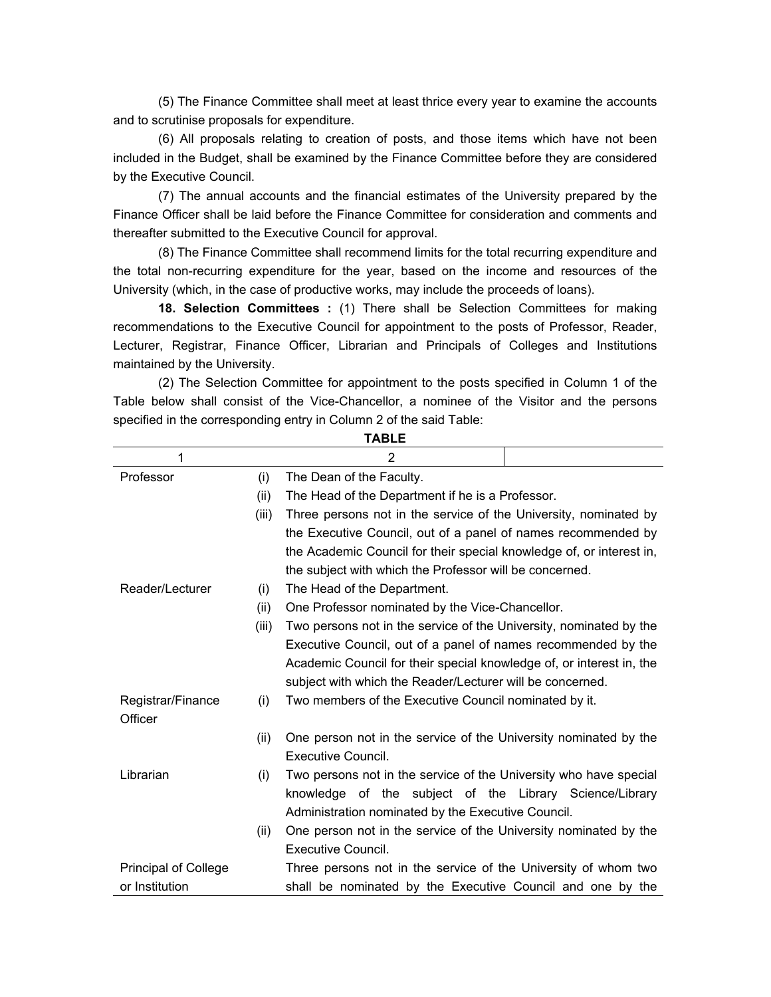(5) The Finance Committee shall meet at least thrice every year to examine the accounts and to scrutinise proposals for expenditure.

 (6) All proposals relating to creation of posts, and those items which have not been included in the Budget, shall be examined by the Finance Committee before they are considered by the Executive Council.

 (7) The annual accounts and the financial estimates of the University prepared by the Finance Officer shall be laid before the Finance Committee for consideration and comments and thereafter submitted to the Executive Council for approval.

 (8) The Finance Committee shall recommend limits for the total recurring expenditure and the total non-recurring expenditure for the year, based on the income and resources of the University (which, in the case of productive works, may include the proceeds of loans).

 **18. Selection Committees :** (1) There shall be Selection Committees for making recommendations to the Executive Council for appointment to the posts of Professor, Reader, Lecturer, Registrar, Finance Officer, Librarian and Principals of Colleges and Institutions maintained by the University.

 (2) The Selection Committee for appointment to the posts specified in Column 1 of the Table below shall consist of the Vice-Chancellor, a nominee of the Visitor and the persons specified in the corresponding entry in Column 2 of the said Table:

| 1                           |       | 2                                                                    |  |
|-----------------------------|-------|----------------------------------------------------------------------|--|
| Professor                   | (i)   | The Dean of the Faculty.                                             |  |
|                             | (ii)  | The Head of the Department if he is a Professor.                     |  |
|                             | (iii) | Three persons not in the service of the University, nominated by     |  |
|                             |       | the Executive Council, out of a panel of names recommended by        |  |
|                             |       | the Academic Council for their special knowledge of, or interest in, |  |
|                             |       | the subject with which the Professor will be concerned.              |  |
| Reader/Lecturer             | (i)   | The Head of the Department.                                          |  |
|                             | (ii)  | One Professor nominated by the Vice-Chancellor.                      |  |
|                             | (iii) | Two persons not in the service of the University, nominated by the   |  |
|                             |       | Executive Council, out of a panel of names recommended by the        |  |
|                             |       | Academic Council for their special knowledge of, or interest in, the |  |
|                             |       | subject with which the Reader/Lecturer will be concerned.            |  |
| Registrar/Finance           | (i)   | Two members of the Executive Council nominated by it.                |  |
| Officer                     |       |                                                                      |  |
|                             | (ii)  | One person not in the service of the University nominated by the     |  |
|                             |       | Executive Council.                                                   |  |
| Librarian                   | (i)   | Two persons not in the service of the University who have special    |  |
|                             |       | knowledge of the subject of the Library Science/Library              |  |
|                             |       | Administration nominated by the Executive Council.                   |  |
|                             | (ii)  | One person not in the service of the University nominated by the     |  |
|                             |       | Executive Council.                                                   |  |
| <b>Principal of College</b> |       | Three persons not in the service of the University of whom two       |  |
| or Institution              |       | shall be nominated by the Executive Council and one by the           |  |

**TABLE**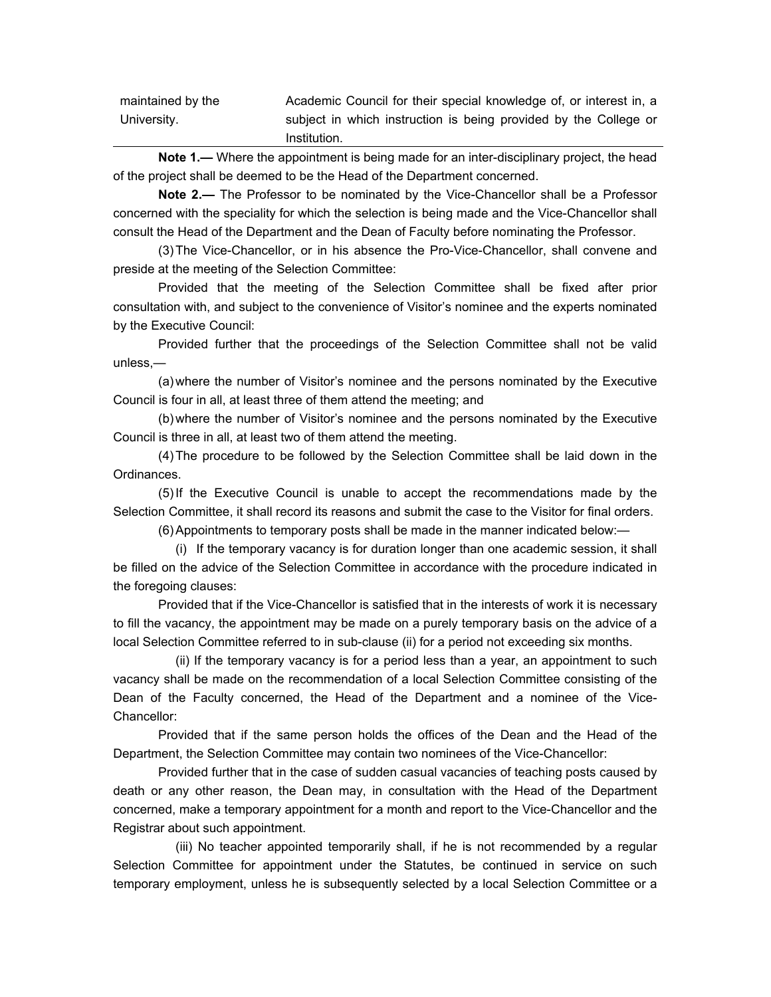| maintained by the | Academic Council for their special knowledge of, or interest in, a |
|-------------------|--------------------------------------------------------------------|
| University.       | subject in which instruction is being provided by the College or   |
|                   | Institution.                                                       |

**Note 1.—** Where the appointment is being made for an inter-disciplinary project, the head of the project shall be deemed to be the Head of the Department concerned.

**Note 2.—** The Professor to be nominated by the Vice-Chancellor shall be a Professor concerned with the speciality for which the selection is being made and the Vice-Chancellor shall consult the Head of the Department and the Dean of Faculty before nominating the Professor.

 (3) The Vice-Chancellor, or in his absence the Pro-Vice-Chancellor, shall convene and preside at the meeting of the Selection Committee:

 Provided that the meeting of the Selection Committee shall be fixed after prior consultation with, and subject to the convenience of Visitor's nominee and the experts nominated by the Executive Council:

 Provided further that the proceedings of the Selection Committee shall not be valid unless,—

 (a) where the number of Visitor's nominee and the persons nominated by the Executive Council is four in all, at least three of them attend the meeting; and

 (b) where the number of Visitor's nominee and the persons nominated by the Executive Council is three in all, at least two of them attend the meeting.

 (4) The procedure to be followed by the Selection Committee shall be laid down in the Ordinances.

 (5) If the Executive Council is unable to accept the recommendations made by the Selection Committee, it shall record its reasons and submit the case to the Visitor for final orders.

(6) Appointments to temporary posts shall be made in the manner indicated below:—

 (i) If the temporary vacancy is for duration longer than one academic session, it shall be filled on the advice of the Selection Committee in accordance with the procedure indicated in the foregoing clauses:

 Provided that if the Vice-Chancellor is satisfied that in the interests of work it is necessary to fill the vacancy, the appointment may be made on a purely temporary basis on the advice of a local Selection Committee referred to in sub-clause (ii) for a period not exceeding six months.

 (ii) If the temporary vacancy is for a period less than a year, an appointment to such vacancy shall be made on the recommendation of a local Selection Committee consisting of the Dean of the Faculty concerned, the Head of the Department and a nominee of the Vice-Chancellor:

Provided that if the same person holds the offices of the Dean and the Head of the Department, the Selection Committee may contain two nominees of the Vice-Chancellor:

 Provided further that in the case of sudden casual vacancies of teaching posts caused by death or any other reason, the Dean may, in consultation with the Head of the Department concerned, make a temporary appointment for a month and report to the Vice-Chancellor and the Registrar about such appointment.

 (iii) No teacher appointed temporarily shall, if he is not recommended by a regular Selection Committee for appointment under the Statutes, be continued in service on such temporary employment, unless he is subsequently selected by a local Selection Committee or a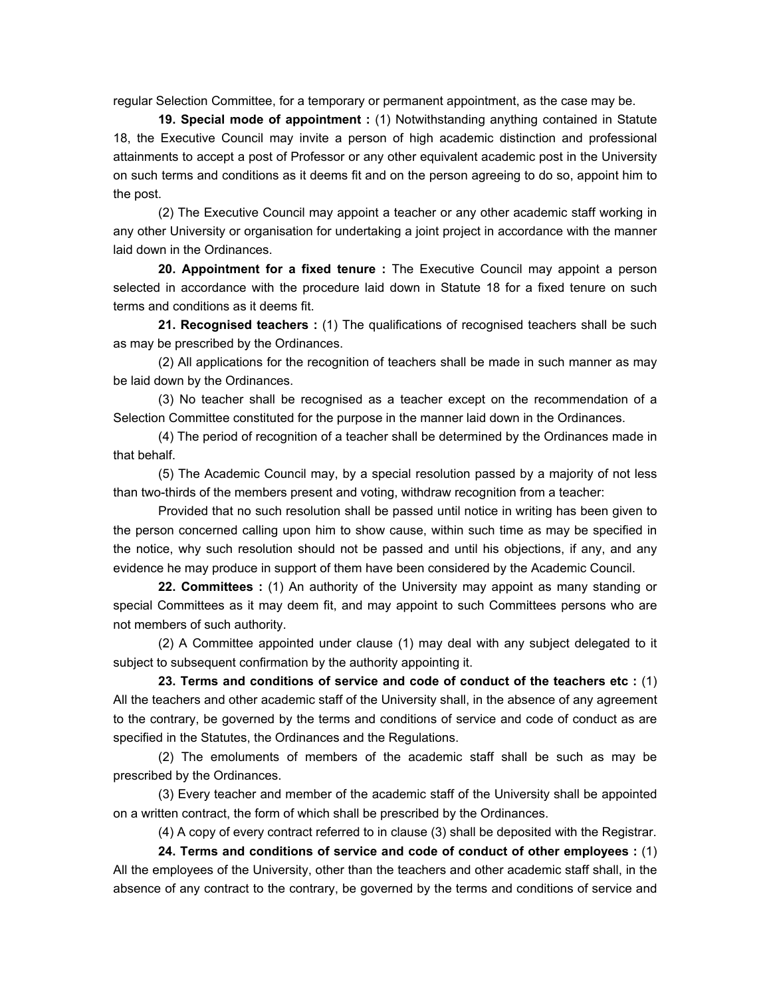regular Selection Committee, for a temporary or permanent appointment, as the case may be.

 **19. Special mode of appointment :** (1) Notwithstanding anything contained in Statute 18, the Executive Council may invite a person of high academic distinction and professional attainments to accept a post of Professor or any other equivalent academic post in the University on such terms and conditions as it deems fit and on the person agreeing to do so, appoint him to the post.

 (2) The Executive Council may appoint a teacher or any other academic staff working in any other University or organisation for undertaking a joint project in accordance with the manner laid down in the Ordinances.

 **20. Appointment for a fixed tenure :** The Executive Council may appoint a person selected in accordance with the procedure laid down in Statute 18 for a fixed tenure on such terms and conditions as it deems fit.

 **21. Recognised teachers :** (1) The qualifications of recognised teachers shall be such as may be prescribed by the Ordinances.

 (2) All applications for the recognition of teachers shall be made in such manner as may be laid down by the Ordinances.

 (3) No teacher shall be recognised as a teacher except on the recommendation of a Selection Committee constituted for the purpose in the manner laid down in the Ordinances.

 (4) The period of recognition of a teacher shall be determined by the Ordinances made in that behalf.

 (5) The Academic Council may, by a special resolution passed by a majority of not less than two-thirds of the members present and voting, withdraw recognition from a teacher:

 Provided that no such resolution shall be passed until notice in writing has been given to the person concerned calling upon him to show cause, within such time as may be specified in the notice, why such resolution should not be passed and until his objections, if any, and any evidence he may produce in support of them have been considered by the Academic Council.

 **22. Committees :** (1) An authority of the University may appoint as many standing or special Committees as it may deem fit, and may appoint to such Committees persons who are not members of such authority.

 (2) A Committee appointed under clause (1) may deal with any subject delegated to it subject to subsequent confirmation by the authority appointing it.

 **23. Terms and conditions of service and code of conduct of the teachers etc :** (1) All the teachers and other academic staff of the University shall, in the absence of any agreement to the contrary, be governed by the terms and conditions of service and code of conduct as are specified in the Statutes, the Ordinances and the Regulations.

 (2) The emoluments of members of the academic staff shall be such as may be prescribed by the Ordinances.

 (3) Every teacher and member of the academic staff of the University shall be appointed on a written contract, the form of which shall be prescribed by the Ordinances.

(4) A copy of every contract referred to in clause (3) shall be deposited with the Registrar.

 **24. Terms and conditions of service and code of conduct of other employees :** (1) All the employees of the University, other than the teachers and other academic staff shall, in the absence of any contract to the contrary, be governed by the terms and conditions of service and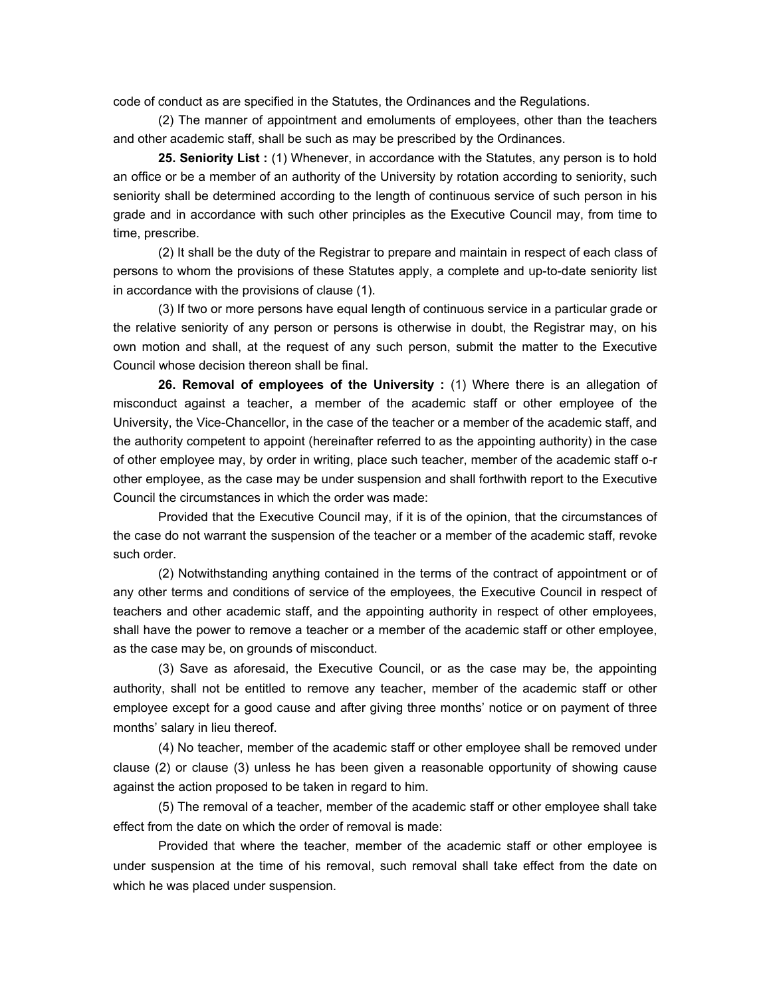code of conduct as are specified in the Statutes, the Ordinances and the Regulations.

 (2) The manner of appointment and emoluments of employees, other than the teachers and other academic staff, shall be such as may be prescribed by the Ordinances.

 **25. Seniority List :** (1) Whenever, in accordance with the Statutes, any person is to hold an office or be a member of an authority of the University by rotation according to seniority, such seniority shall be determined according to the length of continuous service of such person in his grade and in accordance with such other principles as the Executive Council may, from time to time, prescribe.

 (2) It shall be the duty of the Registrar to prepare and maintain in respect of each class of persons to whom the provisions of these Statutes apply, a complete and up-to-date seniority list in accordance with the provisions of clause (1).

 (3) If two or more persons have equal length of continuous service in a particular grade or the relative seniority of any person or persons is otherwise in doubt, the Registrar may, on his own motion and shall, at the request of any such person, submit the matter to the Executive Council whose decision thereon shall be final.

 **26. Removal of employees of the University :** (1) Where there is an allegation of misconduct against a teacher, a member of the academic staff or other employee of the University, the Vice-Chancellor, in the case of the teacher or a member of the academic staff, and the authority competent to appoint (hereinafter referred to as the appointing authority) in the case of other employee may, by order in writing, place such teacher, member of the academic staff o-r other employee, as the case may be under suspension and shall forthwith report to the Executive Council the circumstances in which the order was made:

 Provided that the Executive Council may, if it is of the opinion, that the circumstances of the case do not warrant the suspension of the teacher or a member of the academic staff, revoke such order.

 (2) Notwithstanding anything contained in the terms of the contract of appointment or of any other terms and conditions of service of the employees, the Executive Council in respect of teachers and other academic staff, and the appointing authority in respect of other employees, shall have the power to remove a teacher or a member of the academic staff or other employee, as the case may be, on grounds of misconduct.

 (3) Save as aforesaid, the Executive Council, or as the case may be, the appointing authority, shall not be entitled to remove any teacher, member of the academic staff or other employee except for a good cause and after giving three months' notice or on payment of three months' salary in lieu thereof.

 (4) No teacher, member of the academic staff or other employee shall be removed under clause (2) or clause (3) unless he has been given a reasonable opportunity of showing cause against the action proposed to be taken in regard to him.

 (5) The removal of a teacher, member of the academic staff or other employee shall take effect from the date on which the order of removal is made:

 Provided that where the teacher, member of the academic staff or other employee is under suspension at the time of his removal, such removal shall take effect from the date on which he was placed under suspension.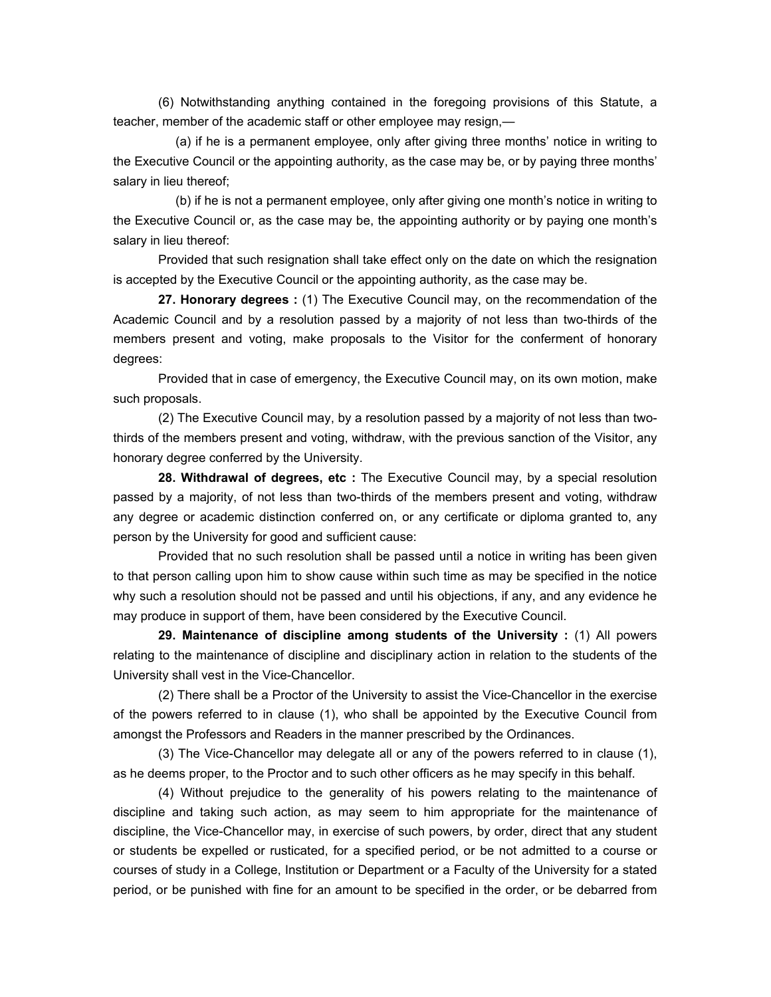(6) Notwithstanding anything contained in the foregoing provisions of this Statute, a teacher, member of the academic staff or other employee may resign,—

 (a) if he is a permanent employee, only after giving three months' notice in writing to the Executive Council or the appointing authority, as the case may be, or by paying three months' salary in lieu thereof;

 (b) if he is not a permanent employee, only after giving one month's notice in writing to the Executive Council or, as the case may be, the appointing authority or by paying one month's salary in lieu thereof:

 Provided that such resignation shall take effect only on the date on which the resignation is accepted by the Executive Council or the appointing authority, as the case may be.

 **27. Honorary degrees :** (1) The Executive Council may, on the recommendation of the Academic Council and by a resolution passed by a majority of not less than two-thirds of the members present and voting, make proposals to the Visitor for the conferment of honorary degrees:

 Provided that in case of emergency, the Executive Council may, on its own motion, make such proposals.

 (2) The Executive Council may, by a resolution passed by a majority of not less than twothirds of the members present and voting, withdraw, with the previous sanction of the Visitor, any honorary degree conferred by the University.

 **28. Withdrawal of degrees, etc :** The Executive Council may, by a special resolution passed by a majority, of not less than two-thirds of the members present and voting, withdraw any degree or academic distinction conferred on, or any certificate or diploma granted to, any person by the University for good and sufficient cause:

 Provided that no such resolution shall be passed until a notice in writing has been given to that person calling upon him to show cause within such time as may be specified in the notice why such a resolution should not be passed and until his objections, if any, and any evidence he may produce in support of them, have been considered by the Executive Council.

 **29. Maintenance of discipline among students of the University :** (1) All powers relating to the maintenance of discipline and disciplinary action in relation to the students of the University shall vest in the Vice-Chancellor.

 (2) There shall be a Proctor of the University to assist the Vice-Chancellor in the exercise of the powers referred to in clause (1), who shall be appointed by the Executive Council from amongst the Professors and Readers in the manner prescribed by the Ordinances.

 (3) The Vice-Chancellor may delegate all or any of the powers referred to in clause (1), as he deems proper, to the Proctor and to such other officers as he may specify in this behalf.

 (4) Without prejudice to the generality of his powers relating to the maintenance of discipline and taking such action, as may seem to him appropriate for the maintenance of discipline, the Vice-Chancellor may, in exercise of such powers, by order, direct that any student or students be expelled or rusticated, for a specified period, or be not admitted to a course or courses of study in a College, Institution or Department or a Faculty of the University for a stated period, or be punished with fine for an amount to be specified in the order, or be debarred from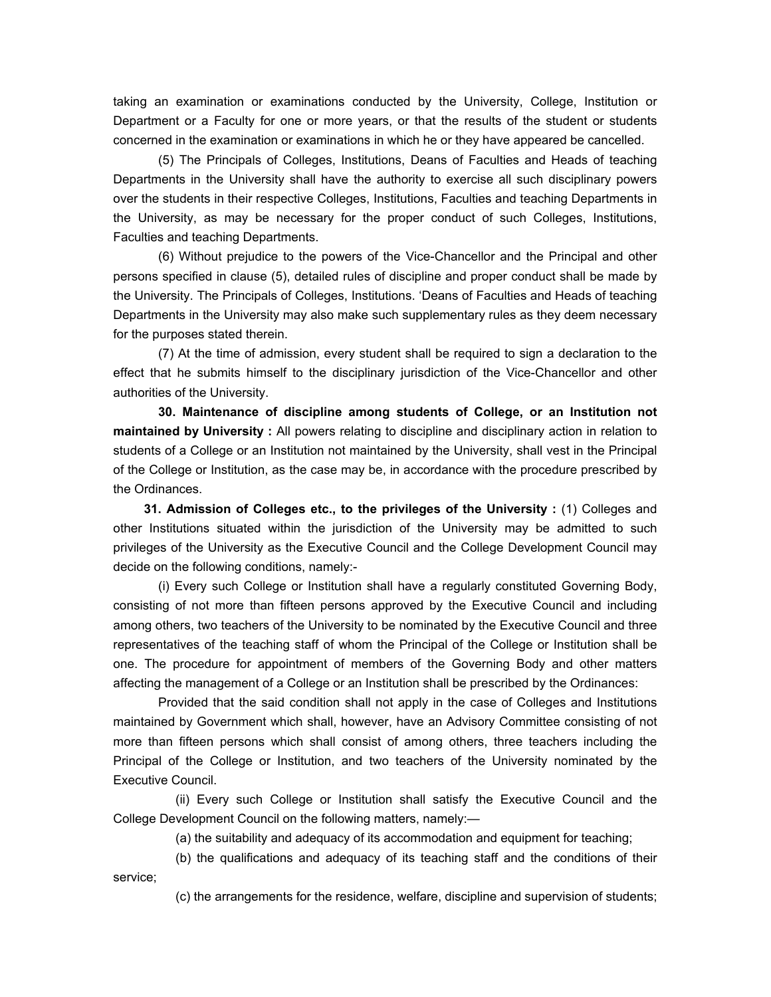taking an examination or examinations conducted by the University, College, Institution or Department or a Faculty for one or more years, or that the results of the student or students concerned in the examination or examinations in which he or they have appeared be cancelled.

 (5) The Principals of Colleges, Institutions, Deans of Faculties and Heads of teaching Departments in the University shall have the authority to exercise all such disciplinary powers over the students in their respective Colleges, Institutions, Faculties and teaching Departments in the University, as may be necessary for the proper conduct of such Colleges, Institutions, Faculties and teaching Departments.

 (6) Without prejudice to the powers of the Vice-Chancellor and the Principal and other persons specified in clause (5), detailed rules of discipline and proper conduct shall be made by the University. The Principals of Colleges, Institutions. 'Deans of Faculties and Heads of teaching Departments in the University may also make such supplementary rules as they deem necessary for the purposes stated therein.

 (7) At the time of admission, every student shall be required to sign a declaration to the effect that he submits himself to the disciplinary jurisdiction of the Vice-Chancellor and other authorities of the University.

 **30. Maintenance of discipline among students of College, or an Institution not maintained by University :** All powers relating to discipline and disciplinary action in relation to students of a College or an Institution not maintained by the University, shall vest in the Principal of the College or Institution, as the case may be, in accordance with the procedure prescribed by the Ordinances.

 **31. Admission of Colleges etc., to the privileges of the University :** (1) Colleges and other Institutions situated within the jurisdiction of the University may be admitted to such privileges of the University as the Executive Council and the College Development Council may decide on the following conditions, namely:-

 (i) Every such College or Institution shall have a regularly constituted Governing Body, consisting of not more than fifteen persons approved by the Executive Council and including among others, two teachers of the University to be nominated by the Executive Council and three representatives of the teaching staff of whom the Principal of the College or Institution shall be one. The procedure for appointment of members of the Governing Body and other matters affecting the management of a College or an Institution shall be prescribed by the Ordinances:

 Provided that the said condition shall not apply in the case of Colleges and Institutions maintained by Government which shall, however, have an Advisory Committee consisting of not more than fifteen persons which shall consist of among others, three teachers including the Principal of the College or Institution, and two teachers of the University nominated by the Executive Council.

 (ii) Every such College or Institution shall satisfy the Executive Council and the College Development Council on the following matters, namely:—

(a) the suitability and adequacy of its accommodation and equipment for teaching;

 (b) the qualifications and adequacy of its teaching staff and the conditions of their service;

(c) the arrangements for the residence, welfare, discipline and supervision of students;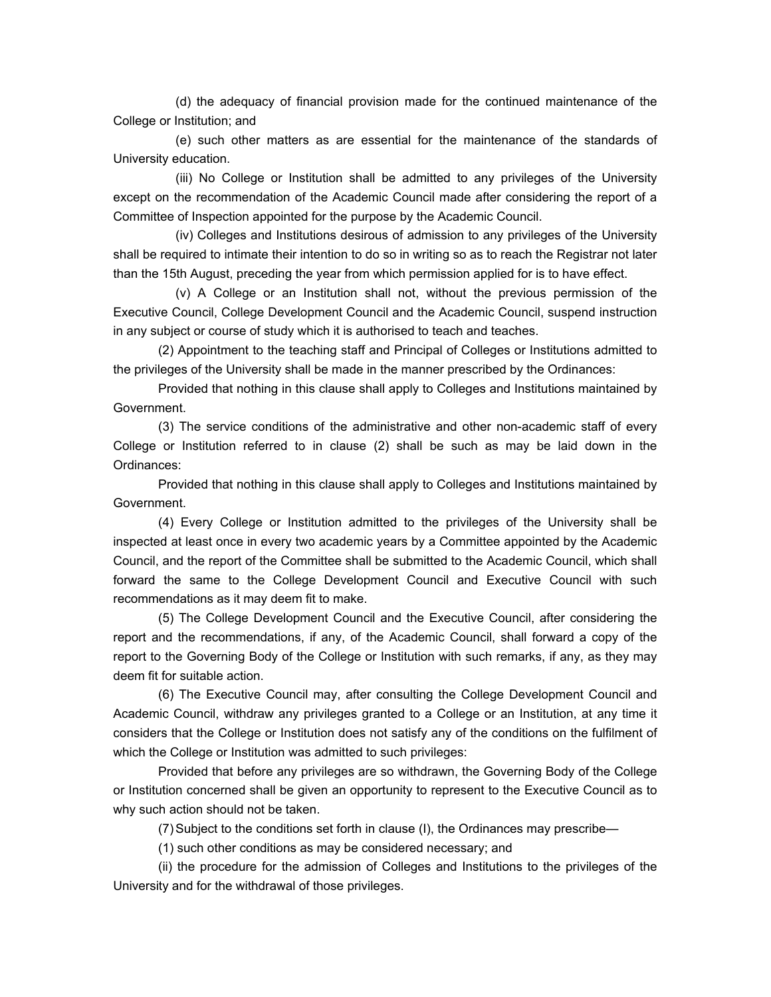(d) the adequacy of financial provision made for the continued maintenance of the College or Institution; and

 (e) such other matters as are essential for the maintenance of the standards of University education.

 (iii) No College or Institution shall be admitted to any privileges of the University except on the recommendation of the Academic Council made after considering the report of a Committee of Inspection appointed for the purpose by the Academic Council.

 (iv) Colleges and Institutions desirous of admission to any privileges of the University shall be required to intimate their intention to do so in writing so as to reach the Registrar not later than the 15th August, preceding the year from which permission applied for is to have effect.

 (v) A College or an Institution shall not, without the previous permission of the Executive Council, College Development Council and the Academic Council, suspend instruction in any subject or course of study which it is authorised to teach and teaches.

 (2) Appointment to the teaching staff and Principal of Colleges or Institutions admitted to the privileges of the University shall be made in the manner prescribed by the Ordinances:

 Provided that nothing in this clause shall apply to Colleges and Institutions maintained by Government.

(3) The service conditions of the administrative and other non-academic staff of every College or Institution referred to in clause (2) shall be such as may be laid down in the Ordinances:

 Provided that nothing in this clause shall apply to Colleges and Institutions maintained by Government.

(4) Every College or Institution admitted to the privileges of the University shall be inspected at least once in every two academic years by a Committee appointed by the Academic Council, and the report of the Committee shall be submitted to the Academic Council, which shall forward the same to the College Development Council and Executive Council with such recommendations as it may deem fit to make.

 (5) The College Development Council and the Executive Council, after considering the report and the recommendations, if any, of the Academic Council, shall forward a copy of the report to the Governing Body of the College or Institution with such remarks, if any, as they may deem fit for suitable action.

 (6) The Executive Council may, after consulting the College Development Council and Academic Council, withdraw any privileges granted to a College or an Institution, at any time it considers that the College or Institution does not satisfy any of the conditions on the fulfilment of which the College or Institution was admitted to such privileges:

 Provided that before any privileges are so withdrawn, the Governing Body of the College or Institution concerned shall be given an opportunity to represent to the Executive Council as to why such action should not be taken.

(7) Subject to the conditions set forth in clause (I), the Ordinances may prescribe—

(1) such other conditions as may be considered necessary; and

 (ii) the procedure for the admission of Colleges and Institutions to the privileges of the University and for the withdrawal of those privileges.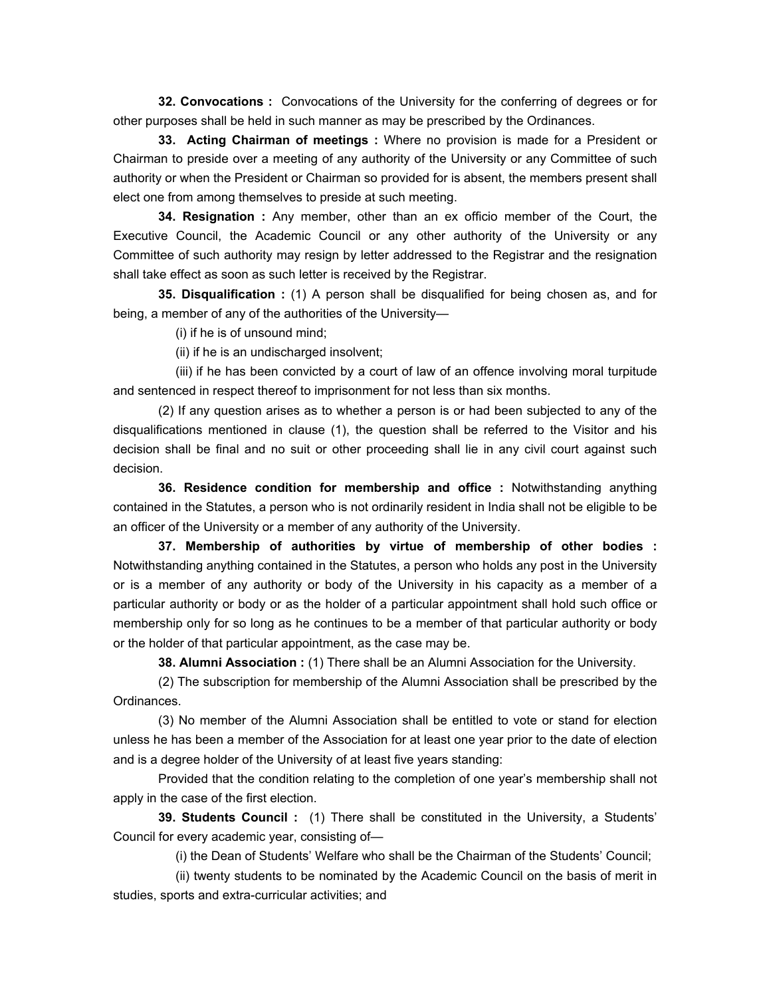**32. Convocations :** Convocations of the University for the conferring of degrees or for other purposes shall be held in such manner as may be prescribed by the Ordinances.

 **33. Acting Chairman of meetings :** Where no provision is made for a President or Chairman to preside over a meeting of any authority of the University or any Committee of such authority or when the President or Chairman so provided for is absent, the members present shall elect one from among themselves to preside at such meeting.

 **34. Resignation :** Any member, other than an ex officio member of the Court, the Executive Council, the Academic Council or any other authority of the University or any Committee of such authority may resign by letter addressed to the Registrar and the resignation shall take effect as soon as such letter is received by the Registrar.

 **35. Disqualification :** (1) A person shall be disqualified for being chosen as, and for being, a member of any of the authorities of the University—

(i) if he is of unsound mind;

(ii) if he is an undischarged insolvent;

 (iii) if he has been convicted by a court of law of an offence involving moral turpitude and sentenced in respect thereof to imprisonment for not less than six months.

 (2) If any question arises as to whether a person is or had been subjected to any of the disqualifications mentioned in clause (1), the question shall be referred to the Visitor and his decision shall be final and no suit or other proceeding shall lie in any civil court against such decision.

 **36. Residence condition for membership and office :** Notwithstanding anything contained in the Statutes, a person who is not ordinarily resident in India shall not be eligible to be an officer of the University or a member of any authority of the University.

 **37. Membership of authorities by virtue of membership of other bodies :**  Notwithstanding anything contained in the Statutes, a person who holds any post in the University or is a member of any authority or body of the University in his capacity as a member of a particular authority or body or as the holder of a particular appointment shall hold such office or membership only for so long as he continues to be a member of that particular authority or body or the holder of that particular appointment, as the case may be.

 **38. Alumni Association :** (1) There shall be an Alumni Association for the University.

 (2) The subscription for membership of the Alumni Association shall be prescribed by the Ordinances.

 (3) No member of the Alumni Association shall be entitled to vote or stand for election unless he has been a member of the Association for at least one year prior to the date of election and is a degree holder of the University of at least five years standing:

 Provided that the condition relating to the completion of one year's membership shall not apply in the case of the first election.

 **39. Students Council :** (1) There shall be constituted in the University, a Students' Council for every academic year, consisting of—

(i) the Dean of Students' Welfare who shall be the Chairman of the Students' Council;

 (ii) twenty students to be nominated by the Academic Council on the basis of merit in studies, sports and extra-curricular activities; and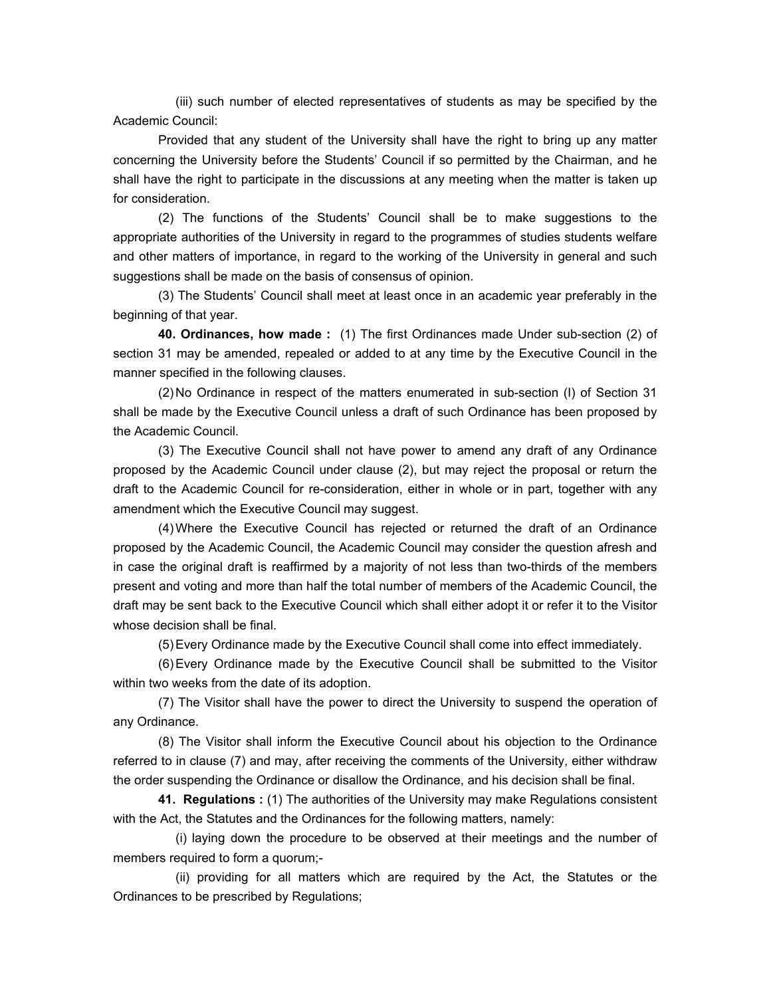(iii) such number of elected representatives of students as may be specified by the Academic Council:

 Provided that any student of the University shall have the right to bring up any matter concerning the University before the Students' Council if so permitted by the Chairman, and he shall have the right to participate in the discussions at any meeting when the matter is taken up for consideration.

 (2) The functions of the Students' Council shall be to make suggestions to the appropriate authorities of the University in regard to the programmes of studies students welfare and other matters of importance, in regard to the working of the University in general and such suggestions shall be made on the basis of consensus of opinion.

 (3) The Students' Council shall meet at least once in an academic year preferably in the beginning of that year.

 **40. Ordinances, how made :** (1) The first Ordinances made Under sub-section (2) of section 31 may be amended, repealed or added to at any time by the Executive Council in the manner specified in the following clauses.

 (2) No Ordinance in respect of the matters enumerated in sub-section (I) of Section 31 shall be made by the Executive Council unless a draft of such Ordinance has been proposed by the Academic Council.

 (3) The Executive Council shall not have power to amend any draft of any Ordinance proposed by the Academic Council under clause (2), but may reject the proposal or return the draft to the Academic Council for re-consideration, either in whole or in part, together with any amendment which the Executive Council may suggest.

 (4) Where the Executive Council has rejected or returned the draft of an Ordinance proposed by the Academic Council, the Academic Council may consider the question afresh and in case the original draft is reaffirmed by a majority of not less than two-thirds of the members present and voting and more than half the total number of members of the Academic Council, the draft may be sent back to the Executive Council which shall either adopt it or refer it to the Visitor whose decision shall be final.

(5) Every Ordinance made by the Executive Council shall come into effect immediately.

 (6) Every Ordinance made by the Executive Council shall be submitted to the Visitor within two weeks from the date of its adoption.

 (7) The Visitor shall have the power to direct the University to suspend the operation of any Ordinance.

 (8) The Visitor shall inform the Executive Council about his objection to the Ordinance referred to in clause (7) and may, after receiving the comments of the University, either withdraw the order suspending the Ordinance or disallow the Ordinance, and his decision shall be final.

 **41. Regulations :** (1) The authorities of the University may make Regulations consistent with the Act, the Statutes and the Ordinances for the following matters, namely:

 (i) laying down the procedure to be observed at their meetings and the number of members required to form a quorum;-

 (ii) providing for all matters which are required by the Act, the Statutes or the Ordinances to be prescribed by Regulations;